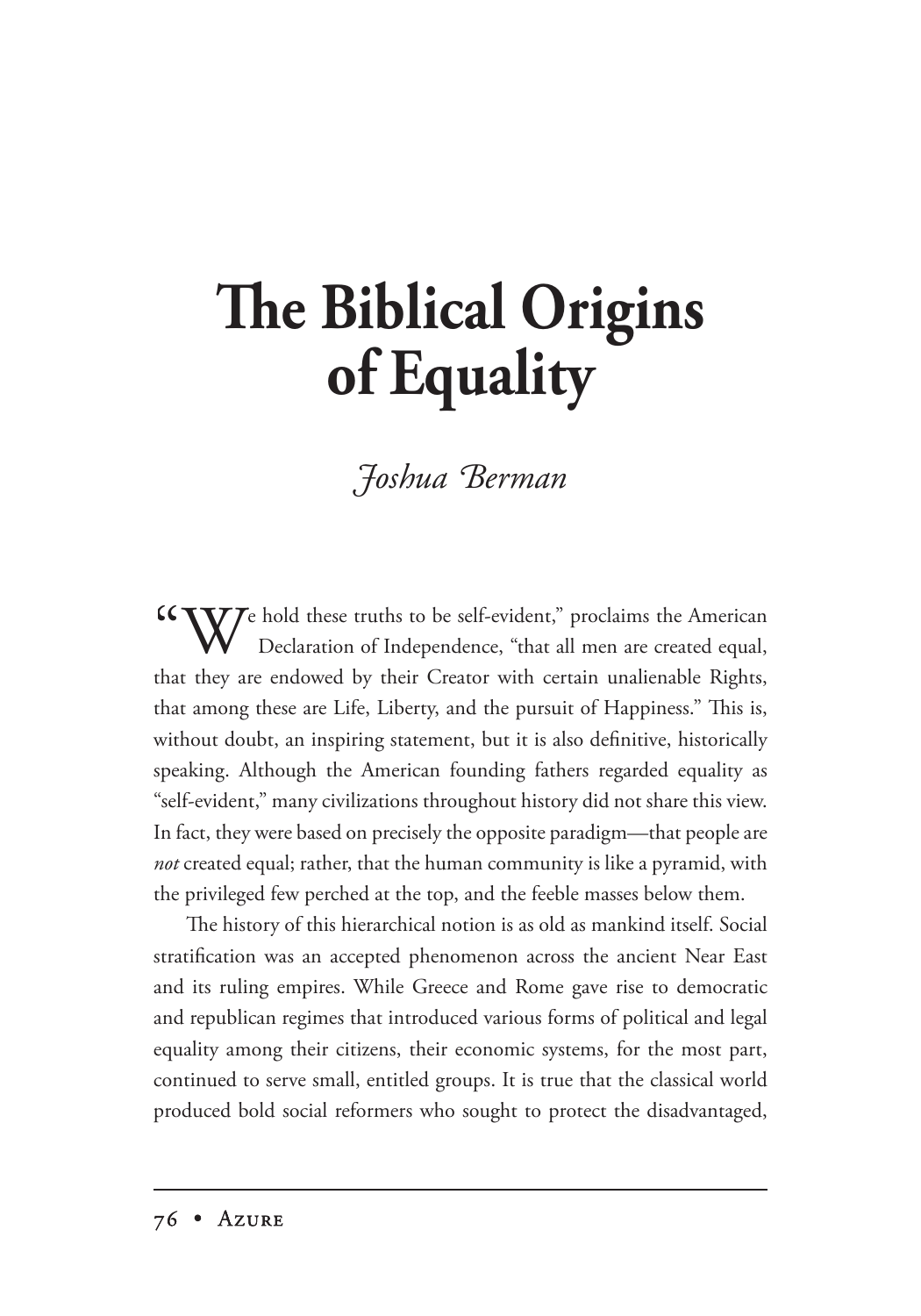## **The Biblical Origins of Equality**

## *Foshua Berman*

 $W^e$  hold these truths to be self-evident," proclaims the American  $W$  Declaration of Independence, "that all men are created equal, that they are endowed by their Creator with certain unalienable Rights, that among these are Life, Liberty, and the pursuit of Happiness." This is, without doubt, an inspiring statement, but it is also definitive, historically speaking. Although the American founding fathers regarded equality as "self-evident," many civilizations throughout history did not share this view. In fact, they were based on precisely the opposite paradigm—that people are *not* created equal; rather, that the human community is like a pyramid, with the privileged few perched at the top, and the feeble masses below them.

The history of this hierarchical notion is as old as mankind itself. Social stratification was an accepted phenomenon across the ancient Near East and its ruling empires. While Greece and Rome gave rise to democratic and republican regimes that introduced various forms of political and legal equality among their citizens, their economic systems, for the most part, continued to serve small, entitled groups. It is true that the classical world produced bold social reformers who sought to protect the disadvantaged,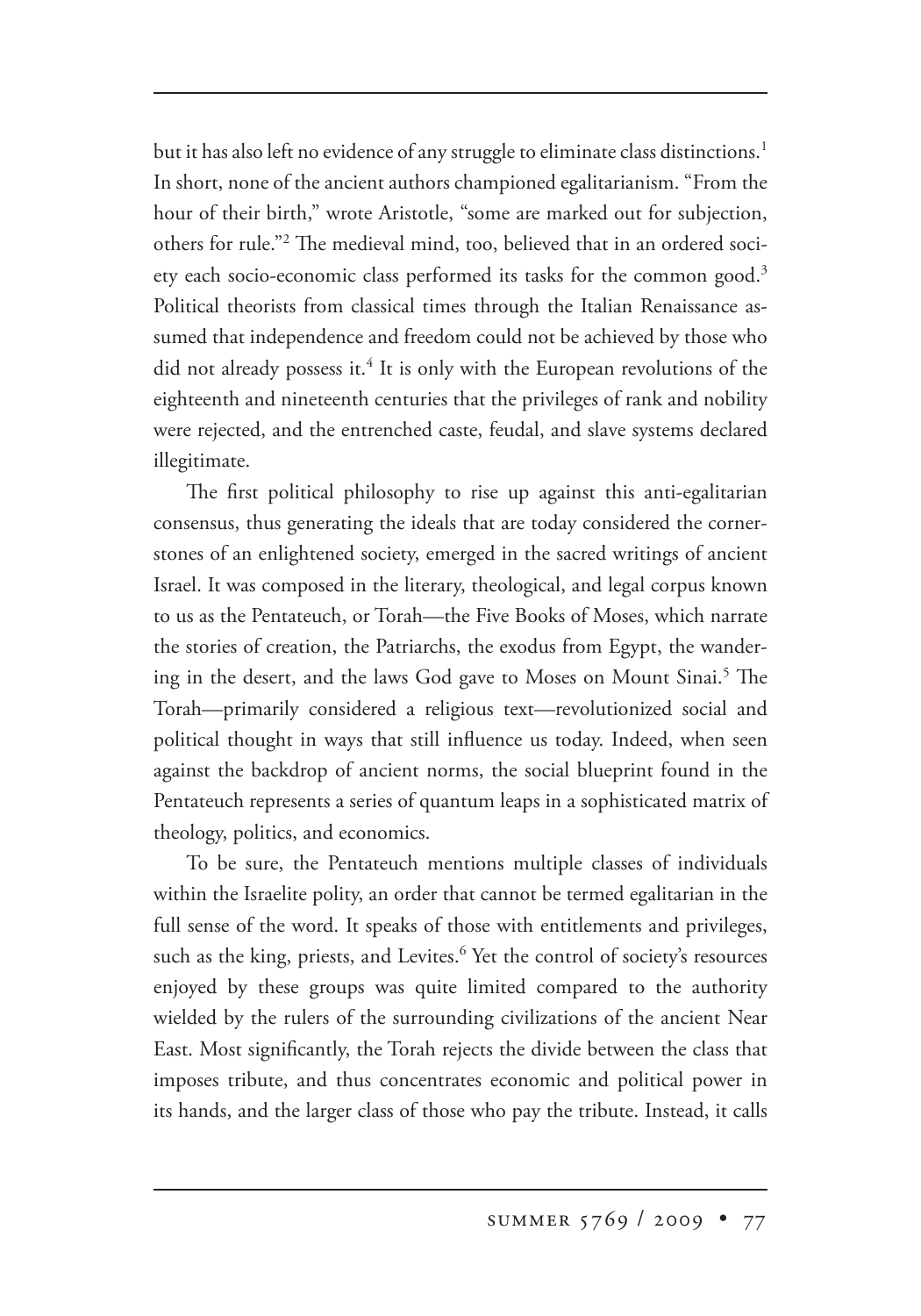but it has also left no evidence of any struggle to eliminate class distinctions.<sup>1</sup> In short, none of the ancient authors championed egalitarianism. "From the hour of their birth," wrote Aristotle, "some are marked out for subjection, others for rule."<sup>2</sup> The medieval mind, too, believed that in an ordered society each socio-economic class performed its tasks for the common good.<sup>3</sup> Political theorists from classical times through the Italian Renaissance assumed that independence and freedom could not be achieved by those who did not already possess it.<sup>4</sup> It is only with the European revolutions of the eighteenth and nineteenth centuries that the privileges of rank and nobility were rejected, and the entrenched caste, feudal, and slave systems declared illegitimate.

The first political philosophy to rise up against this anti-egalitarian consensus, thus generating the ideals that are today considered the cornerstones of an enlightened society, emerged in the sacred writings of ancient Israel. It was composed in the literary, theological, and legal corpus known to us as the Pentateuch, or Torah—the Five Books of Moses, which narrate the stories of creation, the Patriarchs, the exodus from Egypt, the wandering in the desert, and the laws God gave to Moses on Mount Sinai.<sup>5</sup> The Torah—primarily considered a religious text—revolutionized social and political thought in ways that still influence us today. Indeed, when seen against the backdrop of ancient norms, the social blueprint found in the Pentateuch represents a series of quantum leaps in a sophisticated matrix of theology, politics, and economics.

To be sure, the Pentateuch mentions multiple classes of individuals within the Israelite polity, an order that cannot be termed egalitarian in the full sense of the word. It speaks of those with entitlements and privileges, such as the king, priests, and Levites.<sup>6</sup> Yet the control of society's resources enjoyed by these groups was quite limited compared to the authority wielded by the rulers of the surrounding civilizations of the ancient Near East. Most significantly, the Torah rejects the divide between the class that imposes tribute, and thus concentrates economic and political power in its hands, and the larger class of those who pay the tribute. Instead, it calls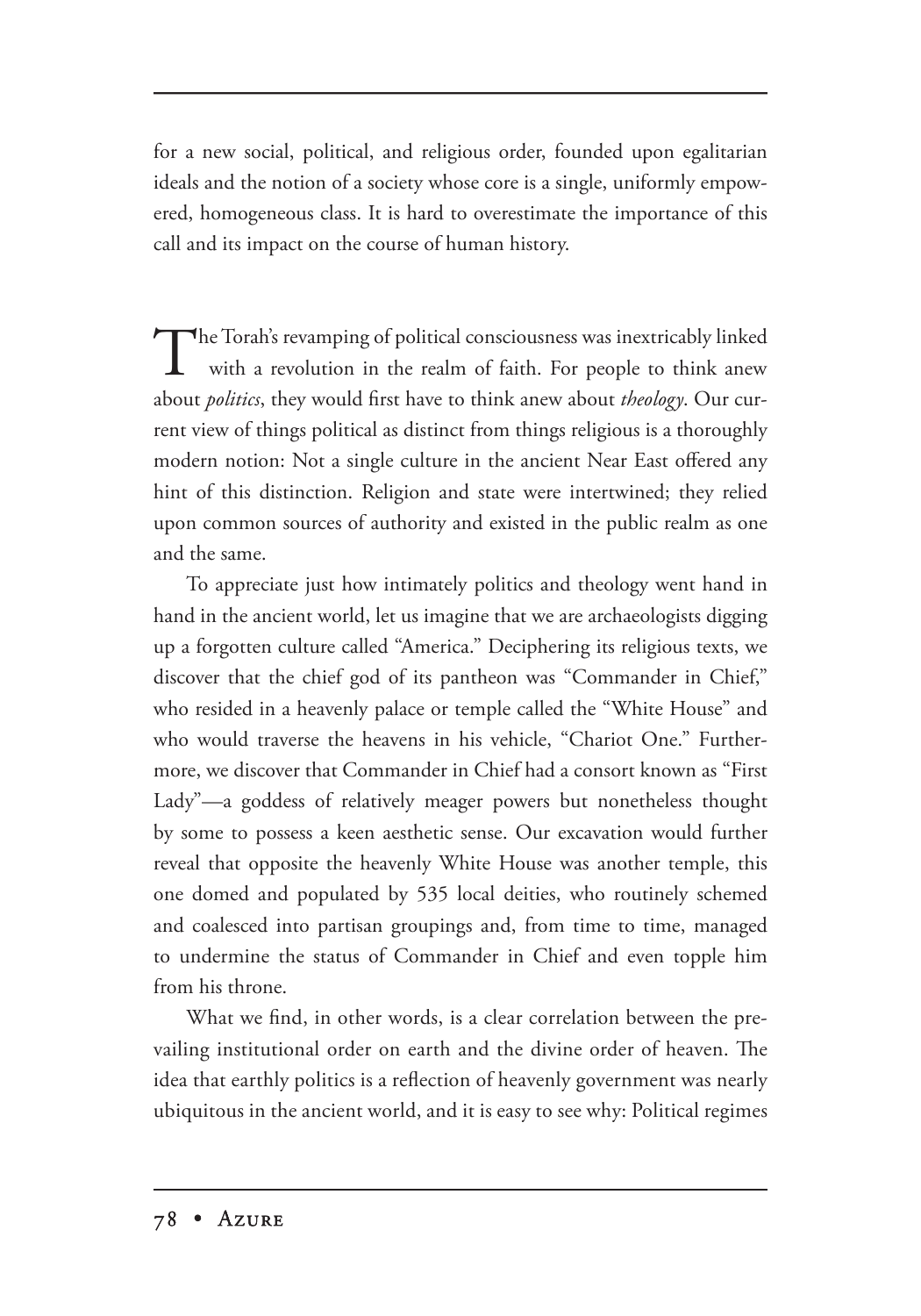for a new social, political, and religious order, founded upon egalitarian ideals and the notion of a society whose core is a single, uniformly empowered, homogeneous class. It is hard to overestimate the importance of this call and its impact on the course of human history.

The Torah's revamping of political consciousness was inextricably linked with a revolution in the realm of faith. For people to think anew about *politics*, they would first have to think anew about *theology*. Our current view of things political as distinct from things religious is a thoroughly modern notion: Not a single culture in the ancient Near East offered any hint of this distinction. Religion and state were intertwined; they relied upon common sources of authority and existed in the public realm as one and the same.

To appreciate just how intimately politics and theology went hand in hand in the ancient world, let us imagine that we are archaeologists digging up a forgotten culture called "America." Deciphering its religious texts, we discover that the chief god of its pantheon was "Commander in Chief," who resided in a heavenly palace or temple called the "White House" and who would traverse the heavens in his vehicle, "Chariot One." Furthermore, we discover that Commander in Chief had a consort known as "First Lady"—a goddess of relatively meager powers but nonetheless thought by some to possess a keen aesthetic sense. Our excavation would further reveal that opposite the heavenly White House was another temple, this one domed and populated by 535 local deities, who routinely schemed and coalesced into partisan groupings and, from time to time, managed to undermine the status of Commander in Chief and even topple him from his throne.

What we find, in other words, is a clear correlation between the prevailing institutional order on earth and the divine order of heaven. The idea that earthly politics is a reflection of heavenly government was nearly ubiquitous in the ancient world, and it is easy to see why: Political regimes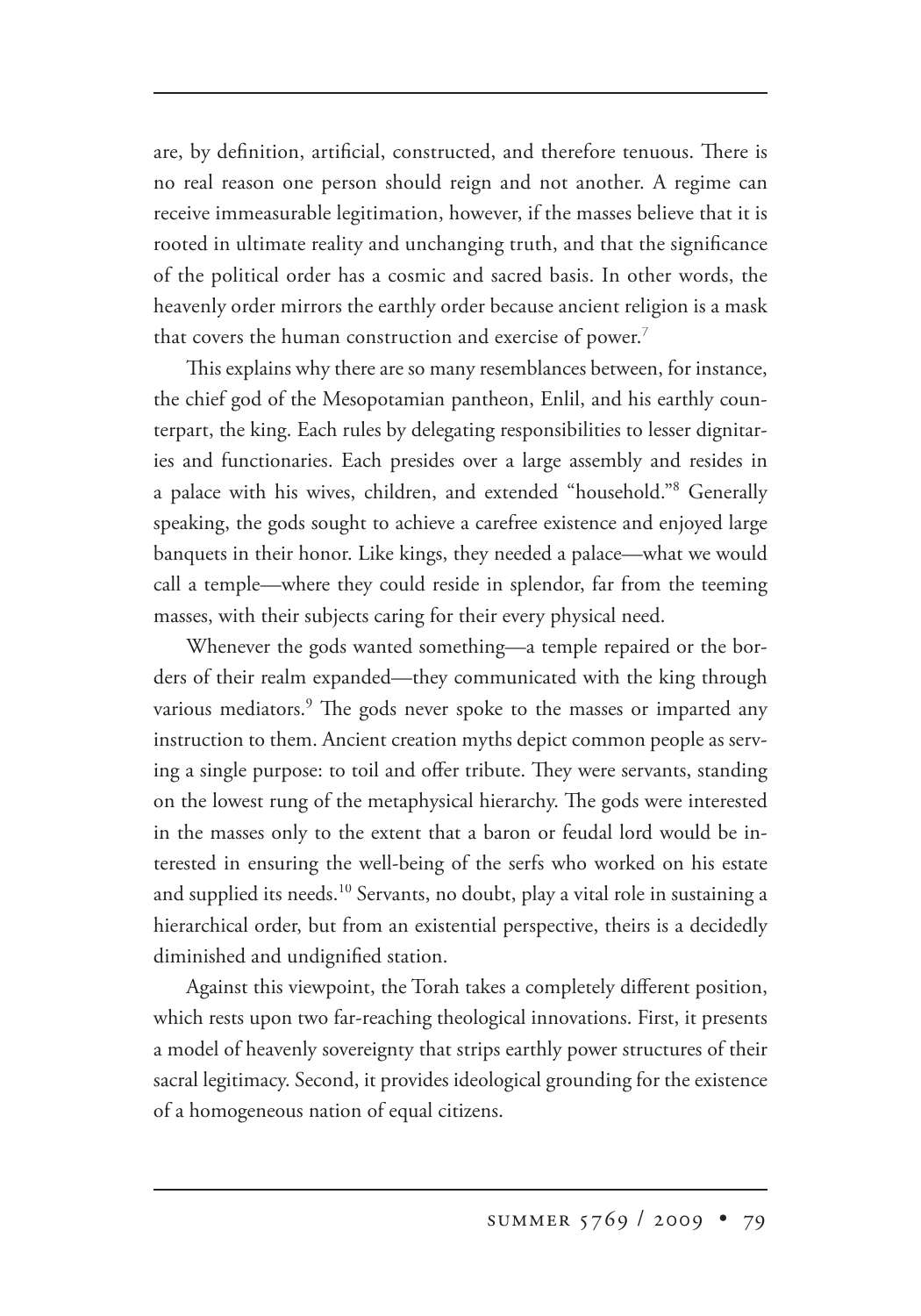are, by definition, artificial, constructed, and therefore tenuous. There is no real reason one person should reign and not another. A regime can receive immeasurable legitimation, however, if the masses believe that it is rooted in ultimate reality and unchanging truth, and that the significance of the political order has a cosmic and sacred basis. In other words, the heavenly order mirrors the earthly order because ancient religion is a mask that covers the human construction and exercise of power.<sup>7</sup>

This explains why there are so many resemblances between, for instance, the chief god of the Mesopotamian pantheon, Enlil, and his earthly counterpart, the king. Each rules by delegating responsibilities to lesser dignitaries and functionaries. Each presides over a large assembly and resides in a palace with his wives, children, and extended "household."<sup>8</sup> Generally speaking, the gods sought to achieve a carefree existence and enjoyed large banquets in their honor. Like kings, they needed a palace—what we would call a temple—where they could reside in splendor, far from the teeming masses, with their subjects caring for their every physical need.

Whenever the gods wanted something—a temple repaired or the borders of their realm expanded—they communicated with the king through various mediators.<sup>9</sup> The gods never spoke to the masses or imparted any instruction to them. Ancient creation myths depict common people as serving a single purpose: to toil and offer tribute. They were servants, standing on the lowest rung of the metaphysical hierarchy. The gods were interested in the masses only to the extent that a baron or feudal lord would be interested in ensuring the well-being of the serfs who worked on his estate and supplied its needs.<sup>10</sup> Servants, no doubt, play a vital role in sustaining a hierarchical order, but from an existential perspective, theirs is a decidedly diminished and undignified station.

Against this viewpoint, the Torah takes a completely different position, which rests upon two far-reaching theological innovations. First, it presents a model of heavenly sovereignty that strips earthly power structures of their sacral legitimacy. Second, it provides ideological grounding for the existence of a homogeneous nation of equal citizens.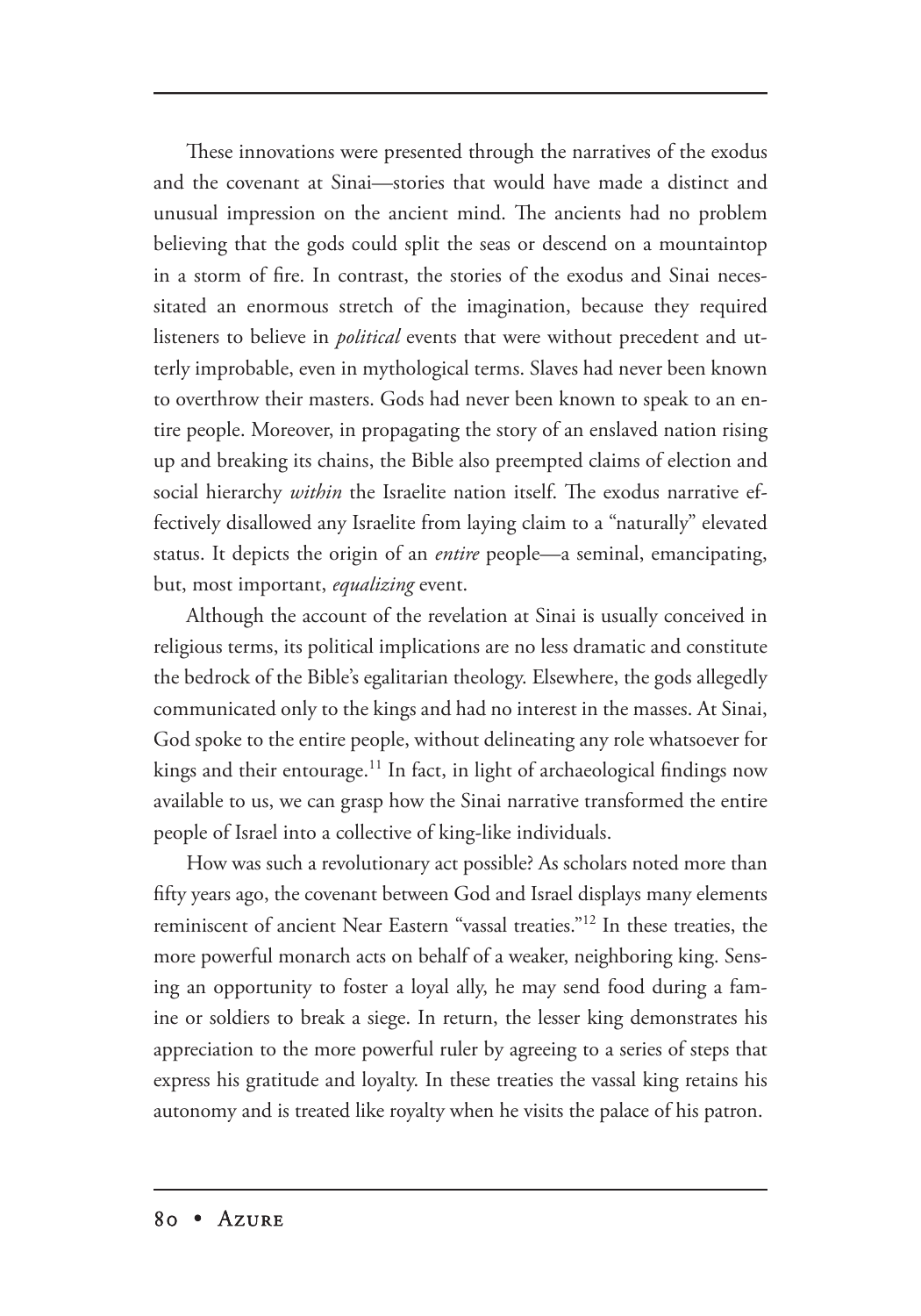These innovations were presented through the narratives of the exodus and the covenant at Sinai—stories that would have made a distinct and unusual impression on the ancient mind. The ancients had no problem believing that the gods could split the seas or descend on a mountaintop in a storm of fire. In contrast, the stories of the exodus and Sinai necessitated an enormous stretch of the imagination, because they required listeners to believe in *political* events that were without precedent and utterly improbable, even in mythological terms. Slaves had never been known to overthrow their masters. Gods had never been known to speak to an entire people. Moreover, in propagating the story of an enslaved nation rising up and breaking its chains, the Bible also preempted claims of election and social hierarchy within the Israelite nation itself. The exodus narrative effectively disallowed any Israelite from laying claim to a "naturally" elevated status. It depicts the origin of an *entire* people—a seminal, emancipating, but, most important, *equalizing* event.

Although the account of the revelation at Sinai is usually conceived in religious terms, its political implications are no less dramatic and constitute the bedrock of the Bible's egalitarian theology. Elsewhere, the gods allegedly communicated only to the kings and had no interest in the masses. At Sinai, God spoke to the entire people, without delineating any role whatsoever for kings and their entourage.<sup>11</sup> In fact, in light of archaeological findings now available to us, we can grasp how the Sinai narrative transformed the entire people of Israel into a collective of king-like individuals.

How was such a revolutionary act possible? As scholars noted more than fifty years ago, the covenant between God and Israel displays many elements reminiscent of ancient Near Eastern "vassal treaties."12 In these treaties, the more powerful monarch acts on behalf of a weaker, neighboring king. Sensing an opportunity to foster a loyal ally, he may send food during a famine or soldiers to break a siege. In return, the lesser king demonstrates his appreciation to the more powerful ruler by agreeing to a series of steps that express his gratitude and loyalty. In these treaties the vassal king retains his autonomy and is treated like royalty when he visits the palace of his patron.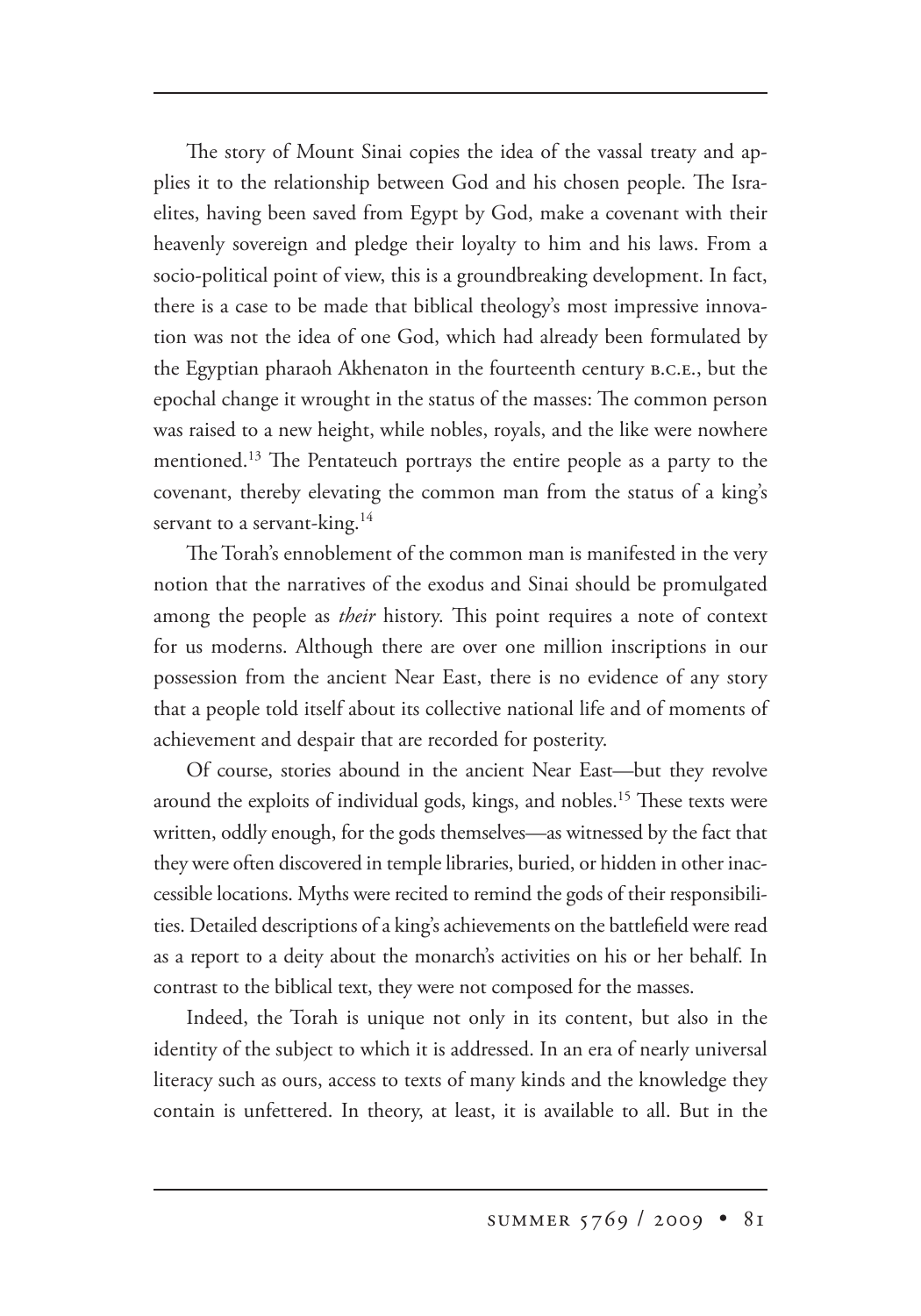The story of Mount Sinai copies the idea of the vassal treaty and applies it to the relationship between God and his chosen people. The Israelites, having been saved from Egypt by God, make a covenant with their heavenly sovereign and pledge their loyalty to him and his laws. From a socio-political point of view, this is a groundbreaking development. In fact, there is a case to be made that biblical theology's most impressive innovation was not the idea of one God, which had already been formulated by the Egyptian pharaoh Akhenaton in the fourteenth century B.C.E., but the epochal change it wrought in the status of the masses: The common person was raised to a new height, while nobles, royals, and the like were nowhere mentioned.<sup>13</sup> The Pentateuch portrays the entire people as a party to the covenant, thereby elevating the common man from the status of a king's servant to a servant-king.<sup>14</sup>

The Torah's ennoblement of the common man is manifested in the very notion that the narratives of the exodus and Sinai should be promulgated among the people as *their* history. This point requires a note of context for us moderns. Although there are over one million inscriptions in our possession from the ancient Near East, there is no evidence of any story that a people told itself about its collective national life and of moments of achievement and despair that are recorded for posterity.

Of course, stories abound in the ancient Near East—but they revolve around the exploits of individual gods, kings, and nobles.<sup>15</sup> These texts were written, oddly enough, for the gods themselves—as witnessed by the fact that they were often discovered in temple libraries, buried, or hidden in other inaccessible locations. Myths were recited to remind the gods of their responsibilities. Detailed descriptions of a king's achievements on the battlefield were read as a report to a deity about the monarch's activities on his or her behalf. In contrast to the biblical text, they were not composed for the masses.

Indeed, the Torah is unique not only in its content, but also in the identity of the subject to which it is addressed. In an era of nearly universal literacy such as ours, access to texts of many kinds and the knowledge they contain is unfettered. In theory, at least, it is available to all. But in the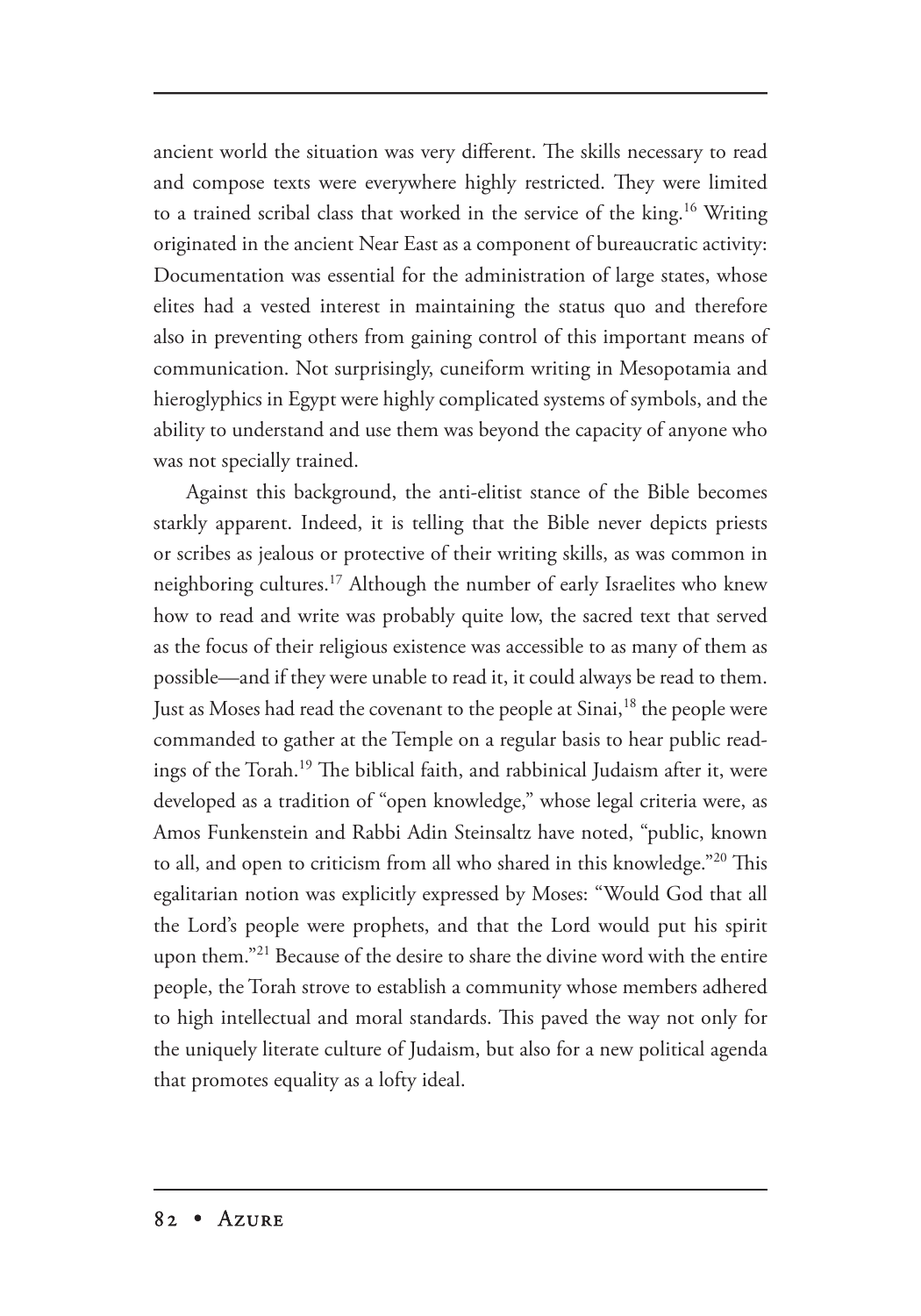ancient world the situation was very different. The skills necessary to read and compose texts were everywhere highly restricted. They were limited to a trained scribal class that worked in the service of the king.<sup>16</sup> Writing originated in the ancient Near East as a component of bureaucratic activity: Documentation was essential for the administration of large states, whose elites had a vested interest in maintaining the status quo and therefore also in preventing others from gaining control of this important means of communication. Not surprisingly, cuneiform writing in Mesopotamia and hieroglyphics in Egypt were highly complicated systems of symbols, and the ability to understand and use them was beyond the capacity of anyone who was not specially trained.

Against this background, the anti-elitist stance of the Bible becomes starkly apparent. Indeed, it is telling that the Bible never depicts priests or scribes as jealous or protective of their writing skills, as was common in neighboring cultures.<sup>17</sup> Although the number of early Israelites who knew how to read and write was probably quite low, the sacred text that served as the focus of their religious existence was accessible to as many of them as possible—and if they were unable to read it, it could always be read to them. Just as Moses had read the covenant to the people at Sinai,<sup>18</sup> the people were commanded to gather at the Temple on a regular basis to hear public readings of the Torah.<sup>19</sup> The biblical faith, and rabbinical Judaism after it, were developed as a tradition of "open knowledge," whose legal criteria were, as Amos Funkenstein and Rabbi Adin Steinsaltz have noted, "public, known to all, and open to criticism from all who shared in this knowledge."<sup>20</sup> This egalitarian notion was explicitly expressed by Moses: "Would God that all the Lord's people were prophets, and that the Lord would put his spirit upon them."21 Because of the desire to share the divine word with the entire people, the Torah strove to establish a community whose members adhered to high intellectual and moral standards. This paved the way not only for the uniquely literate culture of Judaism, but also for a new political agenda that promotes equality as a lofty ideal.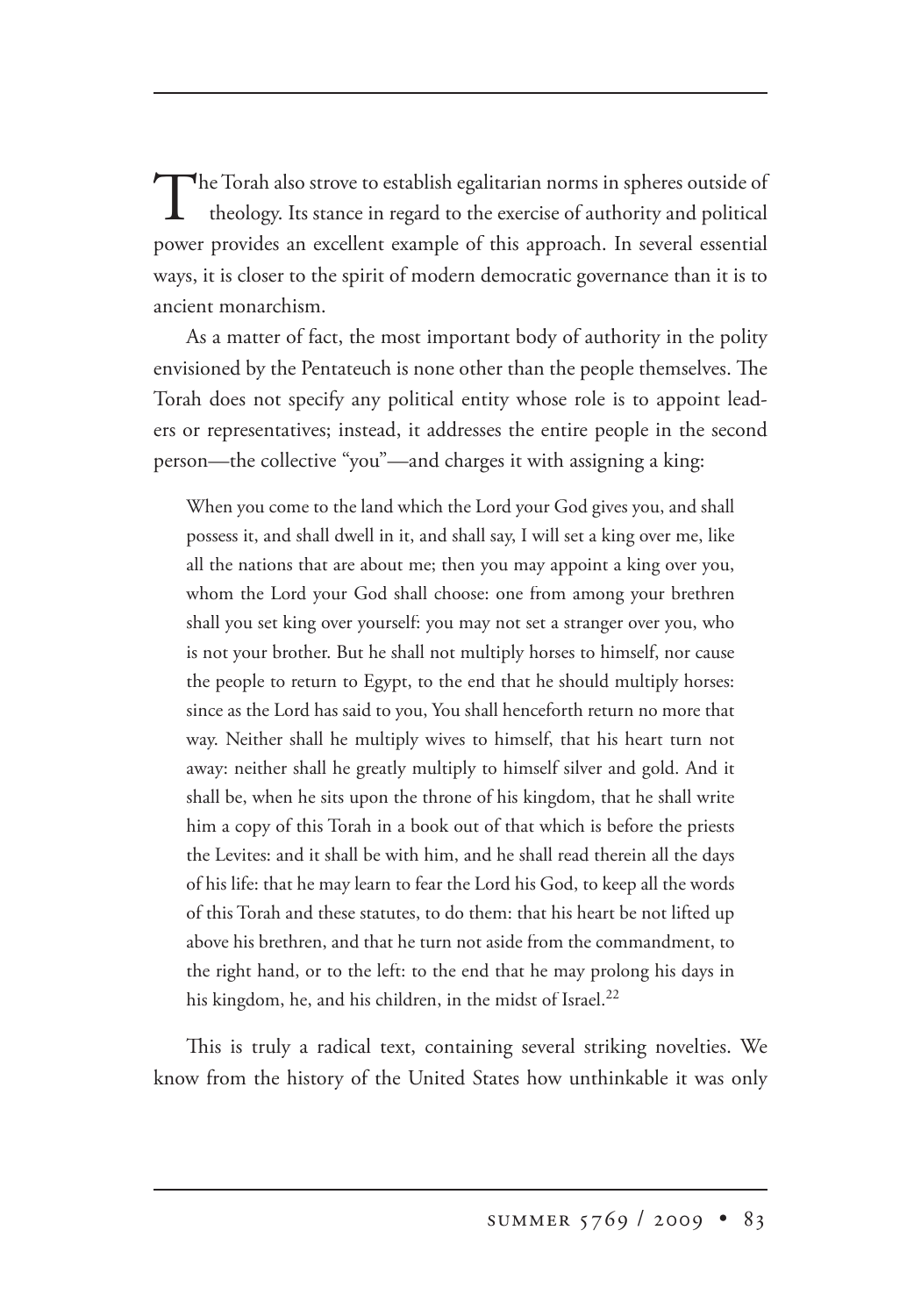The Torah also strove to establish egalitarian norms in spheres outside of theology. Its stance in regard to the exercise of authority and political power provides an excellent example of this approach. In several essential ways, it is closer to the spirit of modern democratic governance than it is to ancient monarchism.

As a matter of fact, the most important body of authority in the polity envisioned by the Pentateuch is none other than the people themselves. The Torah does not specify any political entity whose role is to appoint leaders or representatives; instead, it addresses the entire people in the second person—the collective "you"—and charges it with assigning a king:

When you come to the land which the Lord your God gives you, and shall possess it, and shall dwell in it, and shall say, I will set a king over me, like all the nations that are about me; then you may appoint a king over you, whom the Lord your God shall choose: one from among your brethren shall you set king over yourself: you may not set a stranger over you, who is not your brother. But he shall not multiply horses to himself, nor cause the people to return to Egypt, to the end that he should multiply horses: since as the Lord has said to you, You shall henceforth return no more that way. Neither shall he multiply wives to himself, that his heart turn not away: neither shall he greatly multiply to himself silver and gold. And it shall be, when he sits upon the throne of his kingdom, that he shall write him a copy of this Torah in a book out of that which is before the priests the Levites: and it shall be with him, and he shall read therein all the days of his life: that he may learn to fear the Lord his God, to keep all the words of this Torah and these statutes, to do them: that his heart be not lifted up above his brethren, and that he turn not aside from the commandment, to the right hand, or to the left: to the end that he may prolong his days in his kingdom, he, and his children, in the midst of Israel.<sup>22</sup>

This is truly a radical text, containing several striking novelties. We know from the history of the United States how unthinkable it was only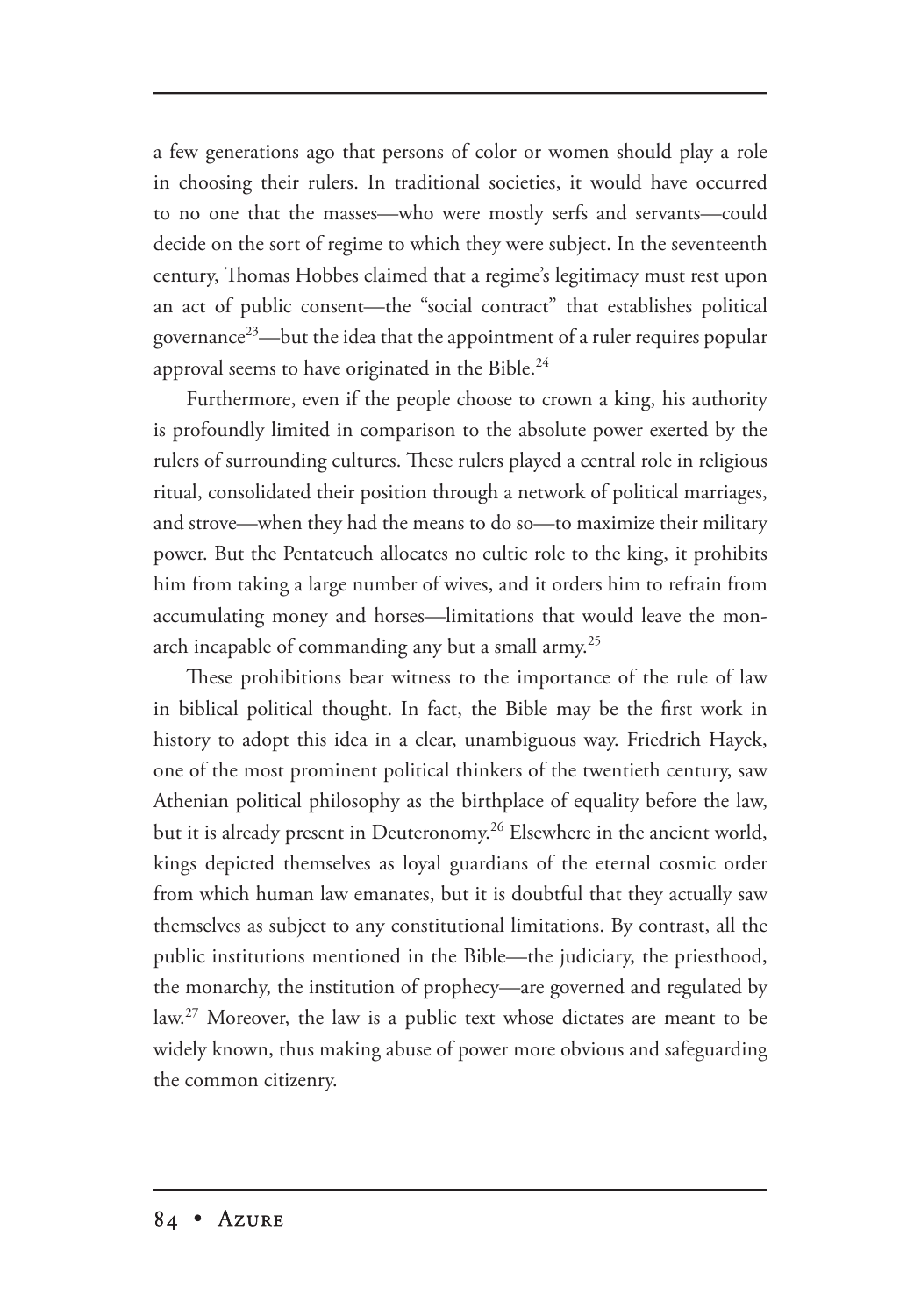a few generations ago that persons of color or women should play a role in choosing their rulers. In traditional societies, it would have occurred to no one that the masses—who were mostly serfs and servants—could decide on the sort of regime to which they were subject. In the seventeenth century, Thomas Hobbes claimed that a regime's legitimacy must rest upon an act of public consent—the "social contract" that establishes political governance<sup>23</sup>—but the idea that the appointment of a ruler requires popular approval seems to have originated in the Bible. $^{24}$ 

Furthermore, even if the people choose to crown a king, his authority is profoundly limited in comparison to the absolute power exerted by the rulers of surrounding cultures. These rulers played a central role in religious ritual, consolidated their position through a network of political marriages, and strove—when they had the means to do so—to maximize their military power. But the Pentateuch allocates no cultic role to the king, it prohibits him from taking a large number of wives, and it orders him to refrain from accumulating money and horses—limitations that would leave the monarch incapable of commanding any but a small army.<sup>25</sup>

These prohibitions bear witness to the importance of the rule of law in biblical political thought. In fact, the Bible may be the first work in history to adopt this idea in a clear, unambiguous way. Friedrich Hayek, one of the most prominent political thinkers of the twentieth century, saw Athenian political philosophy as the birthplace of equality before the law, but it is already present in Deuteronomy.<sup>26</sup> Elsewhere in the ancient world, kings depicted themselves as loyal guardians of the eternal cosmic order from which human law emanates, but it is doubtful that they actually saw themselves as subject to any constitutional limitations. By contrast, all the public institutions mentioned in the Bible—the judiciary, the priesthood, the monarchy, the institution of prophecy—are governed and regulated by law.<sup>27</sup> Moreover, the law is a public text whose dictates are meant to be widely known, thus making abuse of power more obvious and safeguarding the common citizenry.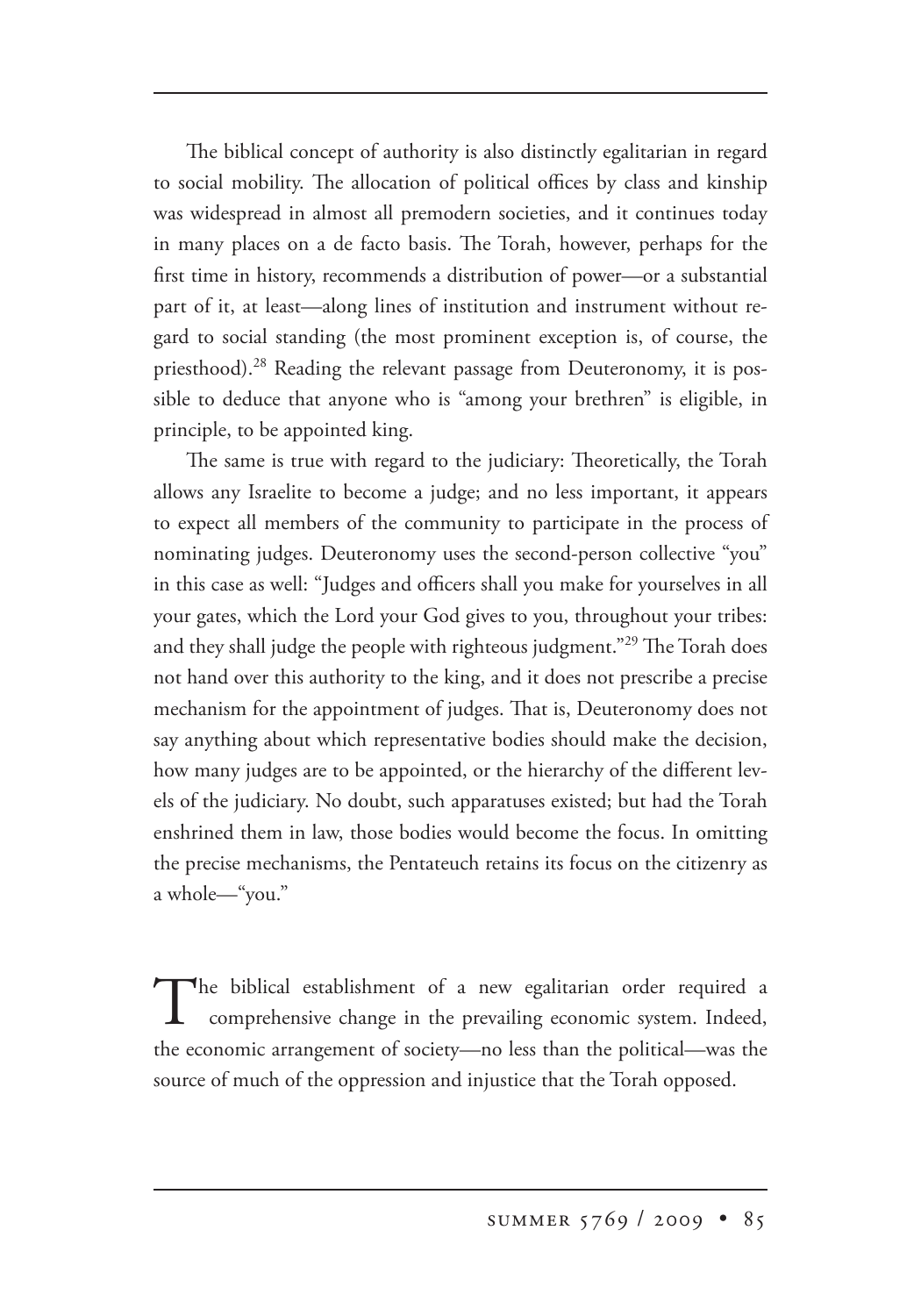The biblical concept of authority is also distinctly egalitarian in regard to social mobility. The allocation of political offices by class and kinship was widespread in almost all premodern societies, and it continues today in many places on a de facto basis. The Torah, however, perhaps for the first time in history, recommends a distribution of power—or a substantial part of it, at least—along lines of institution and instrument without regard to social standing (the most prominent exception is, of course, the priesthood).<sup>28</sup> Reading the relevant passage from Deuteronomy, it is possible to deduce that anyone who is "among your brethren" is eligible, in principle, to be appointed king.

The same is true with regard to the judiciary: Theoretically, the Torah allows any Israelite to become a judge; and no less important, it appears to expect all members of the community to participate in the process of nominating judges. Deuteronomy uses the second-person collective "you" in this case as well: "Judges and officers shall you make for yourselves in all your gates, which the Lord your God gives to you, throughout your tribes: and they shall judge the people with righteous judgment."<sup>29</sup> The Torah does not hand over this authority to the king, and it does not prescribe a precise mechanism for the appointment of judges. That is, Deuteronomy does not say anything about which representative bodies should make the decision, how many judges are to be appointed, or the hierarchy of the different levels of the judiciary. No doubt, such apparatuses existed; but had the Torah enshrined them in law, those bodies would become the focus. In omitting the precise mechanisms, the Pentateuch retains its focus on the citizenry as a whole—"you."

The biblical establishment of a new egalitarian order required a comprehensive change in the prevailing economic system. Indeed, the economic arrangement of society—no less than the political—was the source of much of the oppression and injustice that the Torah opposed.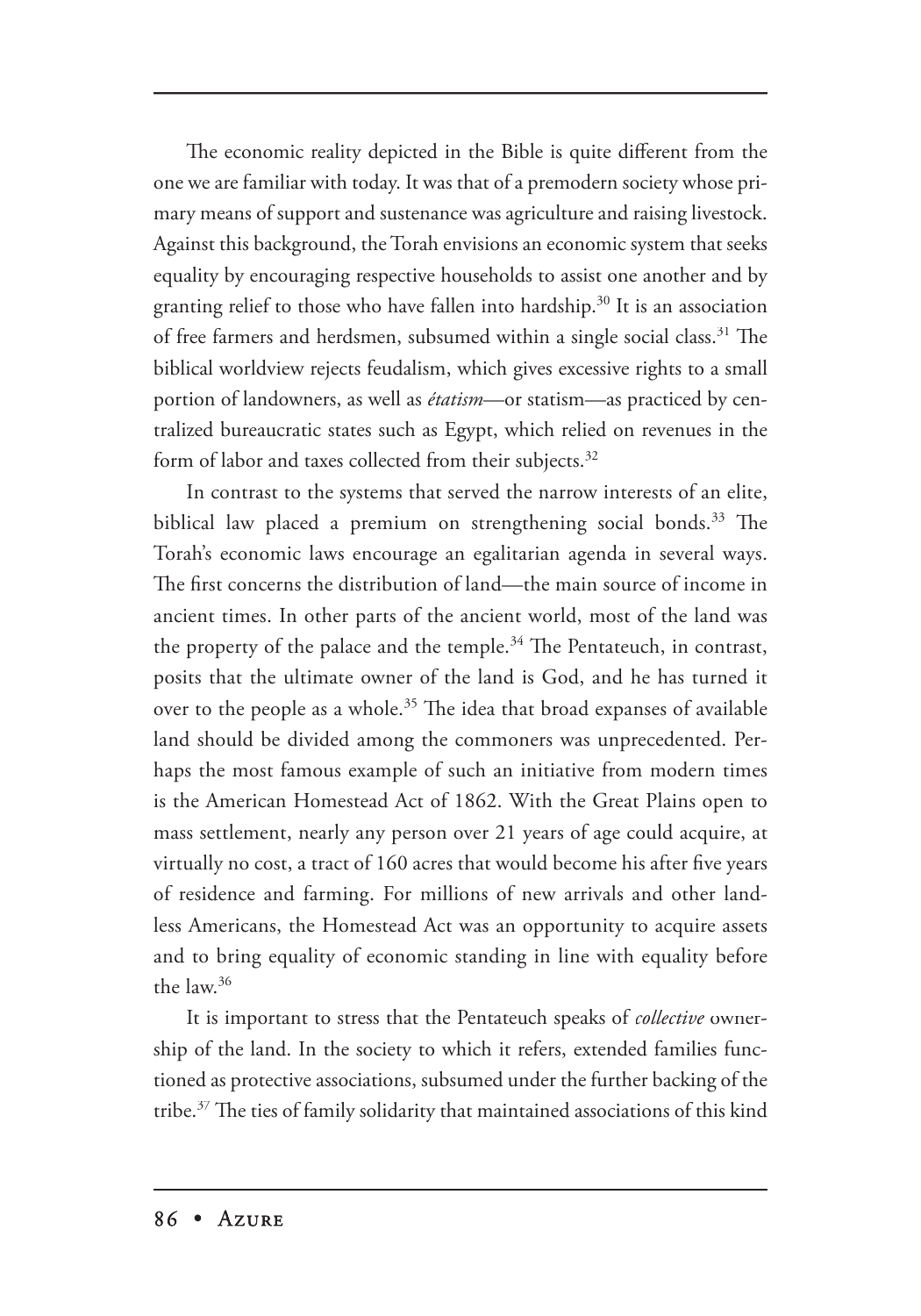The economic reality depicted in the Bible is quite different from the one we are familiar with today. It was that of a premodern society whose primary means of support and sustenance was agriculture and raising livestock. Against this background, the Torah envisions an economic system that seeks equality by encouraging respective households to assist one another and by granting relief to those who have fallen into hardship.30 It is an association of free farmers and herdsmen, subsumed within a single social class.<sup>31</sup> The biblical worldview rejects feudalism, which gives excessive rights to a small portion of landowners, as well as *étatism*—or statism—as practiced by centralized bureaucratic states such as Egypt, which relied on revenues in the form of labor and taxes collected from their subjects.<sup>32</sup>

In contrast to the systems that served the narrow interests of an elite, biblical law placed a premium on strengthening social bonds.<sup>33</sup> The Torah's economic laws encourage an egalitarian agenda in several ways. The first concerns the distribution of land—the main source of income in ancient times. In other parts of the ancient world, most of the land was the property of the palace and the temple. $34$  The Pentateuch, in contrast, posits that the ultimate owner of the land is God, and he has turned it over to the people as a whole.<sup>35</sup> The idea that broad expanses of available land should be divided among the commoners was unprecedented. Perhaps the most famous example of such an initiative from modern times is the American Homestead Act of 1862. With the Great Plains open to mass settlement, nearly any person over 21 years of age could acquire, at virtually no cost, a tract of 160 acres that would become his after five years of residence and farming. For millions of new arrivals and other landless Americans, the Homestead Act was an opportunity to acquire assets and to bring equality of economic standing in line with equality before the law.<sup>36</sup>

It is important to stress that the Pentateuch speaks of *collective* ownership of the land. In the society to which it refers, extended families functioned as protective associations, subsumed under the further backing of the tribe.<sup>37</sup> The ties of family solidarity that maintained associations of this kind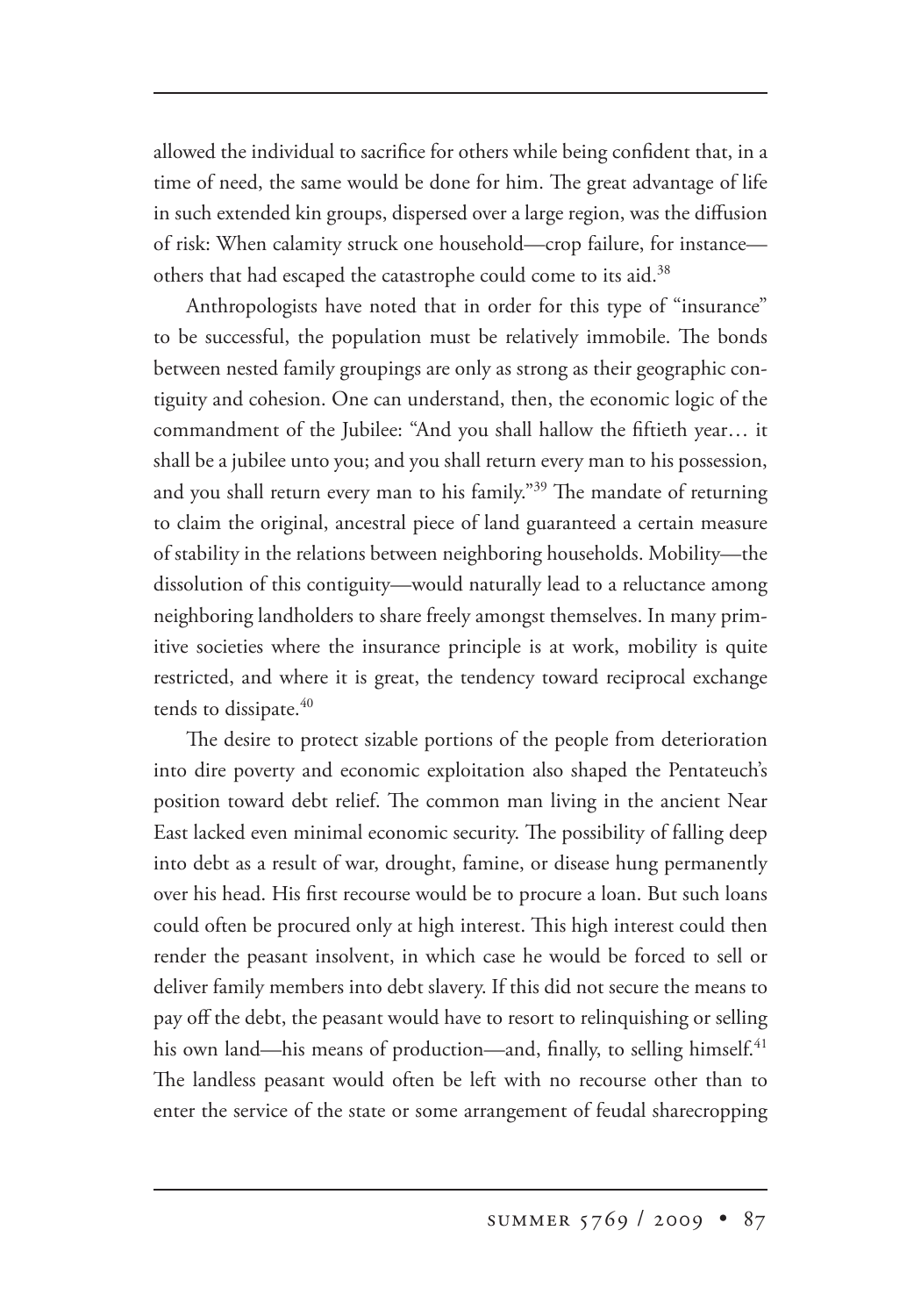allowed the individual to sacrifice for others while being confident that, in a time of need, the same would be done for him. The great advantage of life in such extended kin groups, dispersed over a large region, was the diffusion of risk: When calamity struck one household—crop failure, for instance others that had escaped the catastrophe could come to its aid.<sup>38</sup>

Anthropologists have noted that in order for this type of "insurance" to be successful, the population must be relatively immobile. The bonds between nested family groupings are only as strong as their geographic contiguity and cohesion. One can understand, then, the economic logic of the commandment of the Jubilee: "And you shall hallow the fiftieth year… it shall be a jubilee unto you; and you shall return every man to his possession, and you shall return every man to his family."<sup>39</sup> The mandate of returning to claim the original, ancestral piece of land guaranteed a certain measure of stability in the relations between neighboring households. Mobility—the dissolution of this contiguity—would naturally lead to a reluctance among neighboring landholders to share freely amongst themselves. In many primitive societies where the insurance principle is at work, mobility is quite restricted, and where it is great, the tendency toward reciprocal exchange tends to dissipate.<sup>40</sup>

The desire to protect sizable portions of the people from deterioration into dire poverty and economic exploitation also shaped the Pentateuch's position toward debt relief. The common man living in the ancient Near East lacked even minimal economic security. The possibility of falling deep into debt as a result of war, drought, famine, or disease hung permanently over his head. His first recourse would be to procure a loan. But such loans could often be procured only at high interest. This high interest could then render the peasant insolvent, in which case he would be forced to sell or deliver family members into debt slavery. If this did not secure the means to pay off the debt, the peasant would have to resort to relinquishing or selling his own land—his means of production—and, finally, to selling himself.<sup>41</sup> The landless peasant would often be left with no recourse other than to enter the service of the state or some arrangement of feudal sharecropping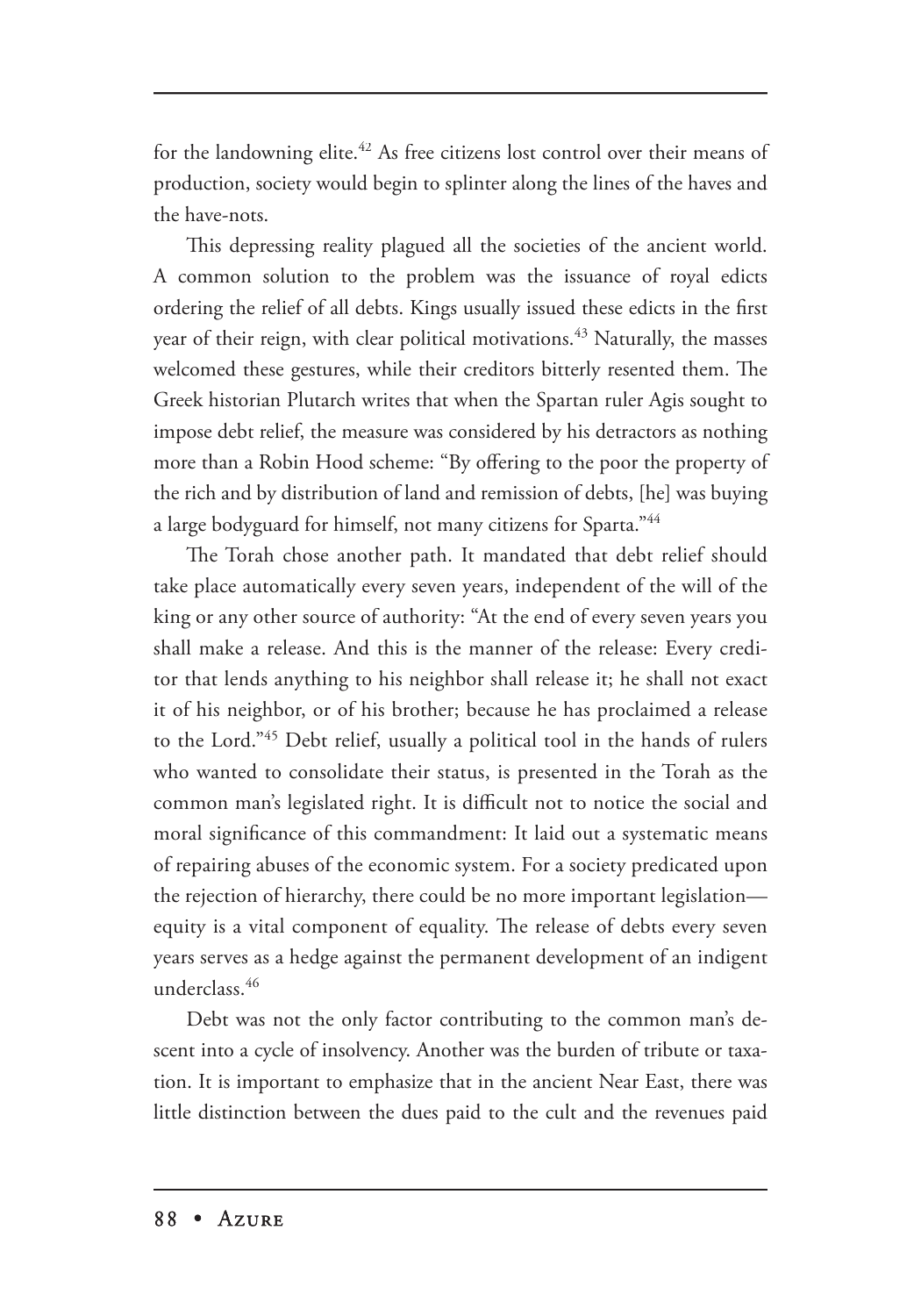for the landowning elite.<sup>42</sup> As free citizens lost control over their means of production, society would begin to splinter along the lines of the haves and the have-nots.

This depressing reality plagued all the societies of the ancient world. A common solution to the problem was the issuance of royal edicts ordering the relief of all debts. Kings usually issued these edicts in the first year of their reign, with clear political motivations.<sup>43</sup> Naturally, the masses welcomed these gestures, while their creditors bitterly resented them. The Greek historian Plutarch writes that when the Spartan ruler Agis sought to impose debt relief, the measure was considered by his detractors as nothing more than a Robin Hood scheme: "By offering to the poor the property of the rich and by distribution of land and remission of debts, [he] was buying a large bodyguard for himself, not many citizens for Sparta."44

The Torah chose another path. It mandated that debt relief should take place automatically every seven years, independent of the will of the king or any other source of authority: "At the end of every seven years you shall make a release. And this is the manner of the release: Every creditor that lends anything to his neighbor shall release it; he shall not exact it of his neighbor, or of his brother; because he has proclaimed a release to the Lord."<sup>45</sup> Debt relief, usually a political tool in the hands of rulers who wanted to consolidate their status, is presented in the Torah as the common man's legislated right. It is difficult not to notice the social and moral significance of this commandment: It laid out a systematic means of repairing abuses of the economic system. For a society predicated upon the rejection of hierarchy, there could be no more important legislation equity is a vital component of equality. The release of debts every seven years serves as a hedge against the permanent development of an indigent underclass.<sup>46</sup>

Debt was not the only factor contributing to the common man's descent into a cycle of insolvency. Another was the burden of tribute or taxation. It is important to emphasize that in the ancient Near East, there was little distinction between the dues paid to the cult and the revenues paid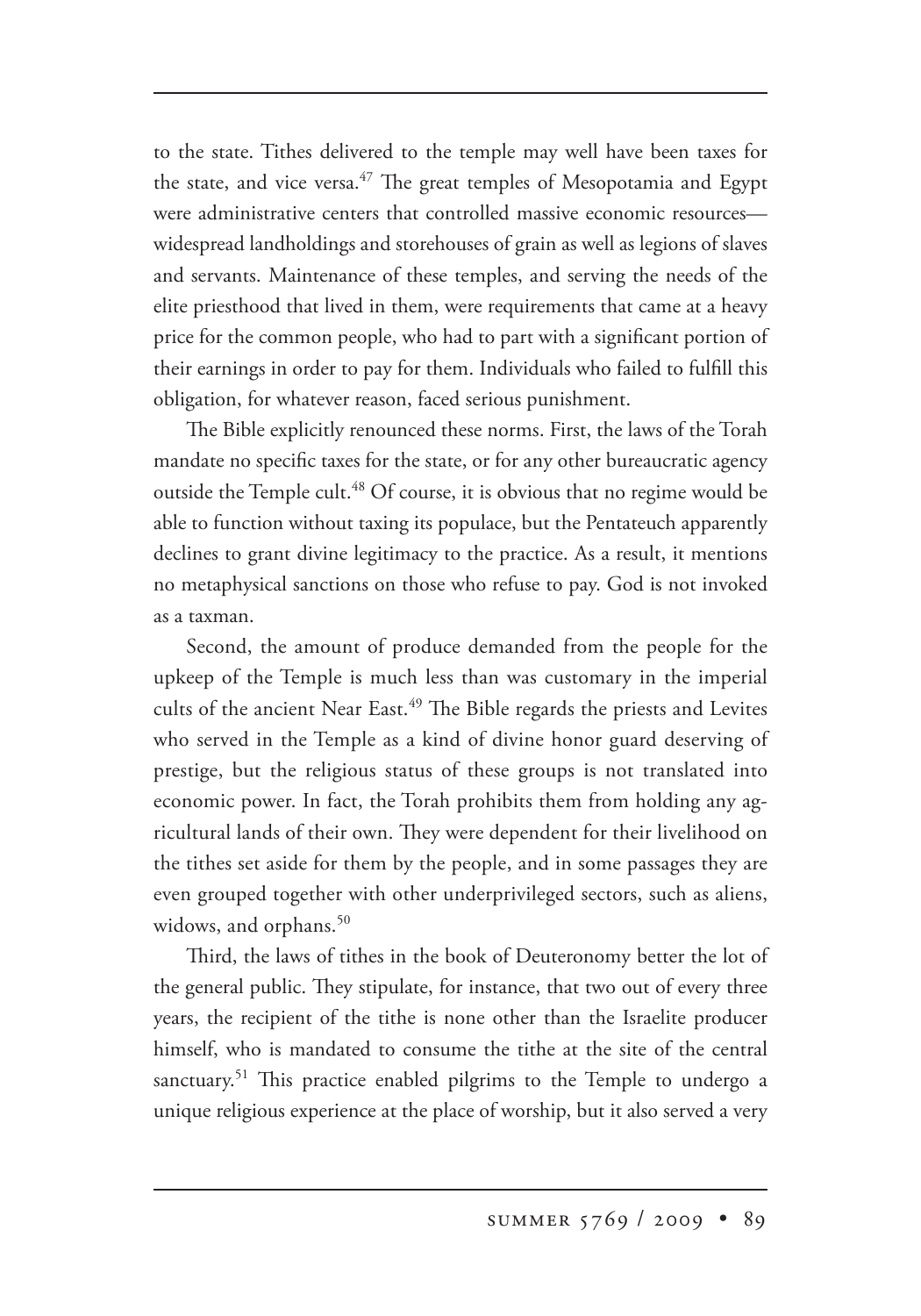to the state. Tithes delivered to the temple may well have been taxes for the state, and vice versa.<sup>47</sup> The great temples of Mesopotamia and Egypt were administrative centers that controlled massive economic resources widespread landholdings and storehouses of grain as well as legions of slaves and servants. Maintenance of these temples, and serving the needs of the elite priesthood that lived in them, were requirements that came at a heavy price for the common people, who had to part with a significant portion of their earnings in order to pay for them. Individuals who failed to fulfill this obligation, for whatever reason, faced serious punishment.

The Bible explicitly renounced these norms. First, the laws of the Torah mandate no specific taxes for the state, or for any other bureaucratic agency outside the Temple cult.<sup>48</sup> Of course, it is obvious that no regime would be able to function without taxing its populace, but the Pentateuch apparently declines to grant divine legitimacy to the practice. As a result, it mentions no metaphysical sanctions on those who refuse to pay. God is not invoked as a taxman.

Second, the amount of produce demanded from the people for the upkeep of the Temple is much less than was customary in the imperial cults of the ancient Near East.<sup>49</sup> The Bible regards the priests and Levites who served in the Temple as a kind of divine honor guard deserving of prestige, but the religious status of these groups is not translated into economic power. In fact, the Torah prohibits them from holding any agricultural lands of their own. They were dependent for their livelihood on the tithes set aside for them by the people, and in some passages they are even grouped together with other underprivileged sectors, such as aliens, widows, and orphans.<sup>50</sup>

Third, the laws of tithes in the book of Deuteronomy better the lot of the general public. They stipulate, for instance, that two out of every three years, the recipient of the tithe is none other than the Israelite producer himself, who is mandated to consume the tithe at the site of the central sanctuary.<sup>51</sup> This practice enabled pilgrims to the Temple to undergo a unique religious experience at the place of worship, but it also served a very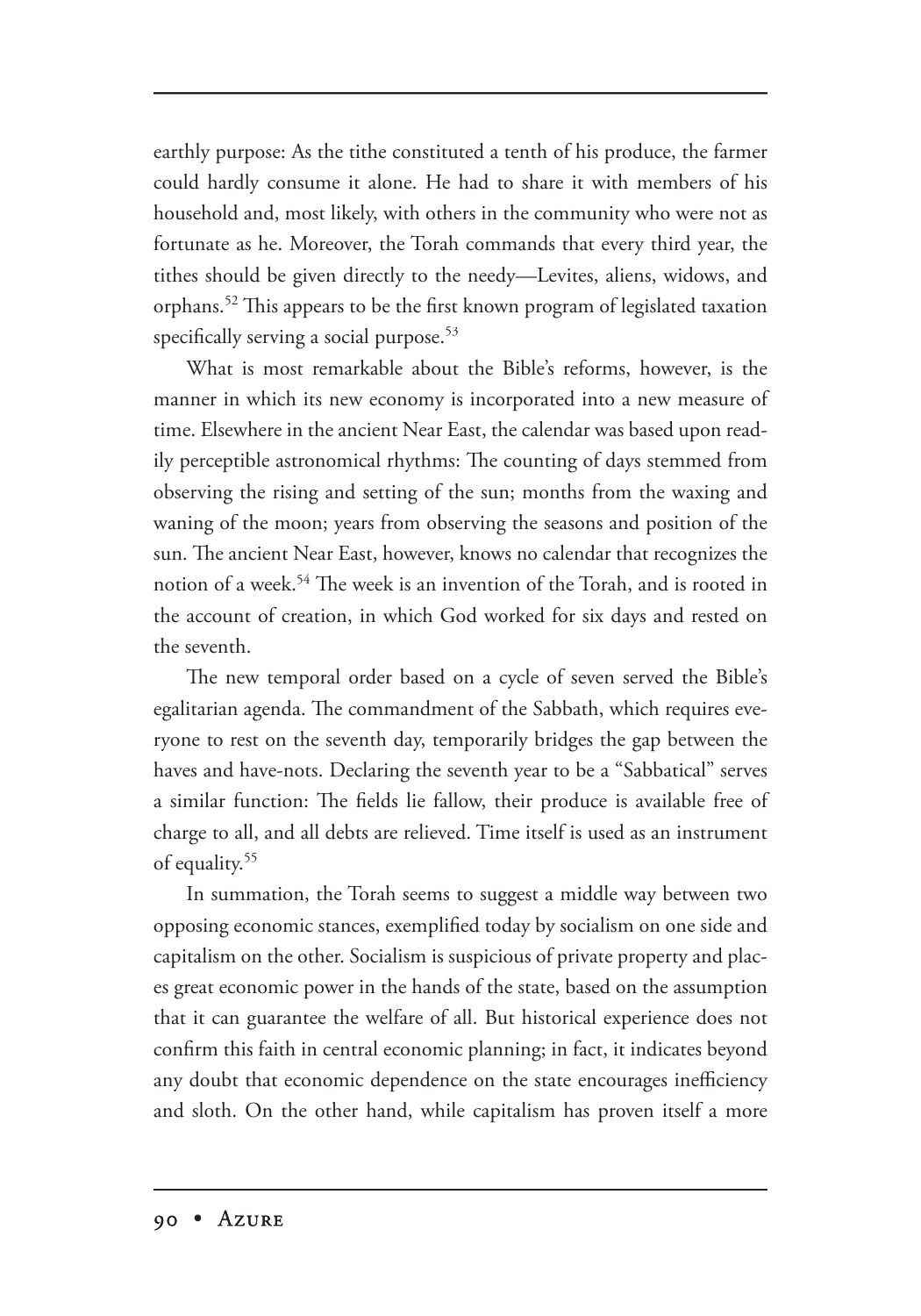earthly purpose: As the tithe constituted a tenth of his produce, the farmer could hardly consume it alone. He had to share it with members of his household and, most likely, with others in the community who were not as fortunate as he. Moreover, the Torah commands that every third year, the tithes should be given directly to the needy—Levites, aliens, widows, and orphans.<sup>52</sup> This appears to be the first known program of legislated taxation specifically serving a social purpose.<sup>53</sup>

What is most remarkable about the Bible's reforms, however, is the manner in which its new economy is incorporated into a new measure of time. Elsewhere in the ancient Near East, the calendar was based upon readily perceptible astronomical rhythms: The counting of days stemmed from observing the rising and setting of the sun; months from the waxing and waning of the moon; years from observing the seasons and position of the sun. The ancient Near East, however, knows no calendar that recognizes the notion of a week.<sup>54</sup> The week is an invention of the Torah, and is rooted in the account of creation, in which God worked for six days and rested on the seventh.

The new temporal order based on a cycle of seven served the Bible's egalitarian agenda. The commandment of the Sabbath, which requires everyone to rest on the seventh day, temporarily bridges the gap between the haves and have-nots. Declaring the seventh year to be a "Sabbatical" serves a similar function: The fields lie fallow, their produce is available free of charge to all, and all debts are relieved. Time itself is used as an instrument of equality.<sup>55</sup>

In summation, the Torah seems to suggest a middle way between two opposing economic stances, exemplified today by socialism on one side and capitalism on the other. Socialism is suspicious of private property and places great economic power in the hands of the state, based on the assumption that it can guarantee the welfare of all. But historical experience does not confirm this faith in central economic planning; in fact, it indicates beyond any doubt that economic dependence on the state encourages inefficiency and sloth. On the other hand, while capitalism has proven itself a more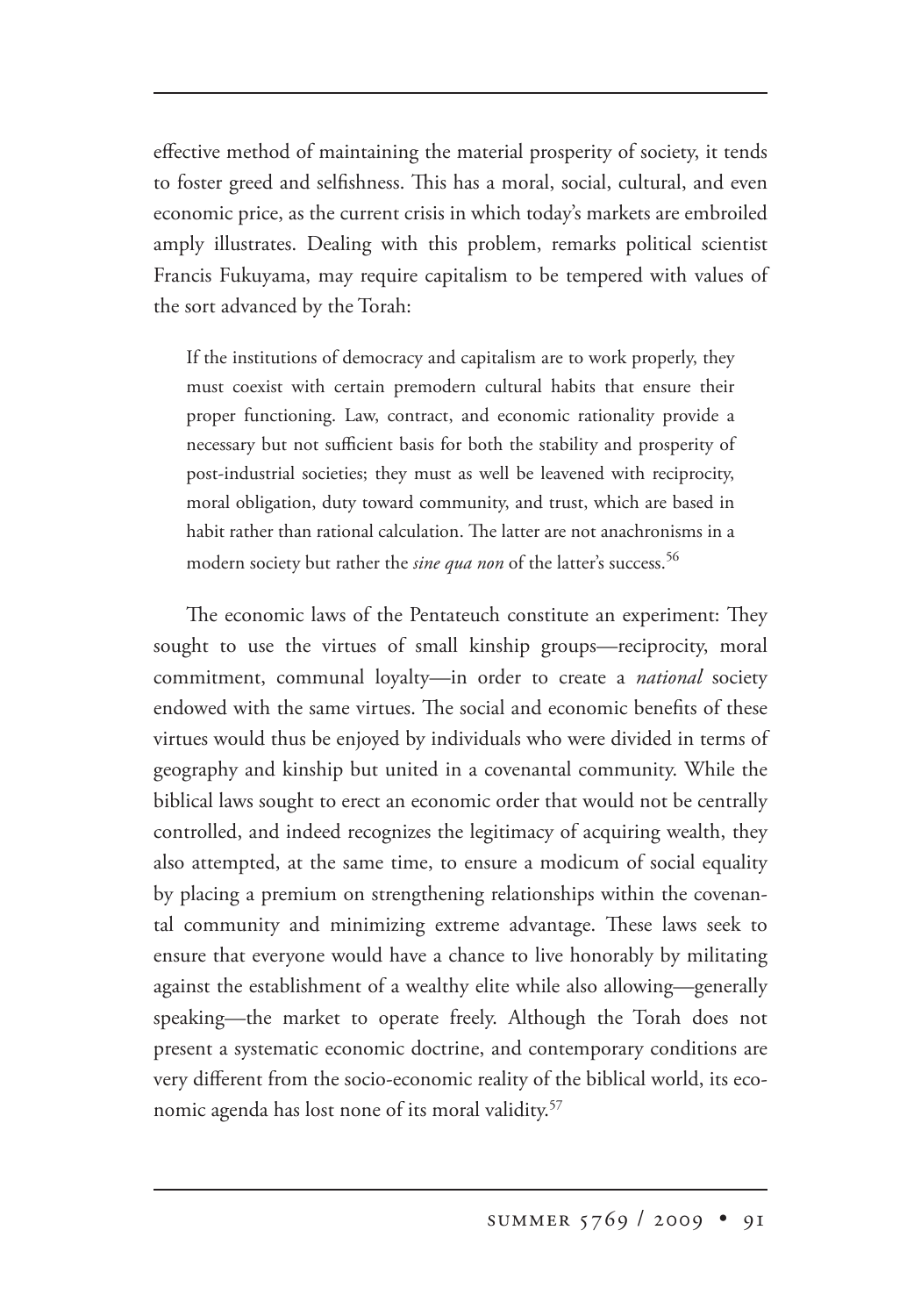effective method of maintaining the material prosperity of society, it tends to foster greed and selfishness. This has a moral, social, cultural, and even economic price, as the current crisis in which today's markets are embroiled amply illustrates. Dealing with this problem, remarks political scientist Francis Fukuyama, may require capitalism to be tempered with values of the sort advanced by the Torah:

If the institutions of democracy and capitalism are to work properly, they must coexist with certain premodern cultural habits that ensure their proper functioning. Law, contract, and economic rationality provide a necessary but not sufficient basis for both the stability and prosperity of post-industrial societies; they must as well be leavened with reciprocity, moral obligation, duty toward community, and trust, which are based in habit rather than rational calculation. The latter are not anachronisms in a modern society but rather the *sine qua non* of the latter's success.<sup>56</sup>

The economic laws of the Pentateuch constitute an experiment: They sought to use the virtues of small kinship groups—reciprocity, moral commitment, communal loyalty—in order to create a *national* society endowed with the same virtues. The social and economic benefits of these virtues would thus be enjoyed by individuals who were divided in terms of geography and kinship but united in a covenantal community. While the biblical laws sought to erect an economic order that would not be centrally controlled, and indeed recognizes the legitimacy of acquiring wealth, they also attempted, at the same time, to ensure a modicum of social equality by placing a premium on strengthening relationships within the covenantal community and minimizing extreme advantage. These laws seek to ensure that everyone would have a chance to live honorably by militating against the establishment of a wealthy elite while also allowing—generally speaking—the market to operate freely. Although the Torah does not present a systematic economic doctrine, and contemporary conditions are very different from the socio-economic reality of the biblical world, its economic agenda has lost none of its moral validity.<sup>57</sup>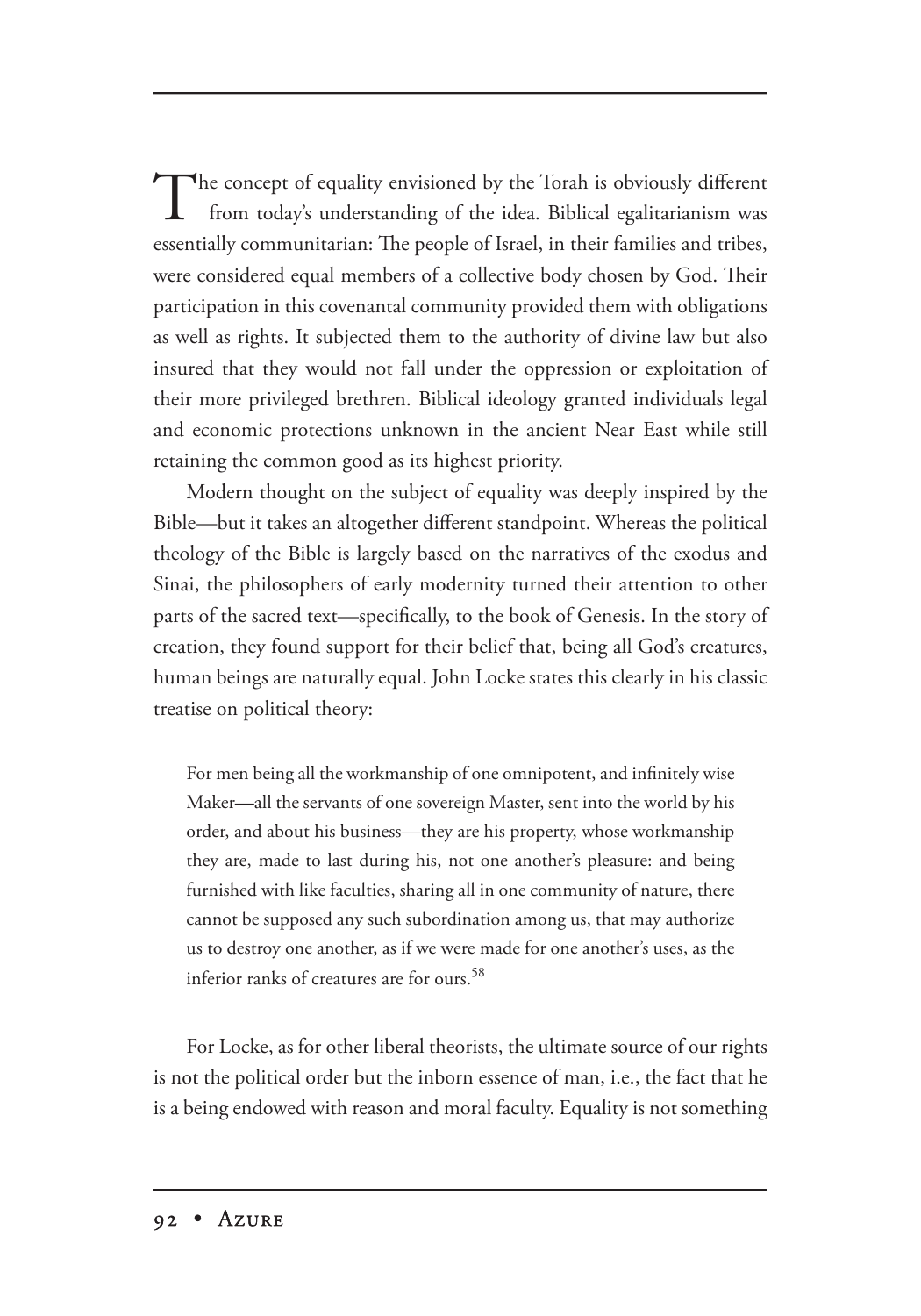The concept of equality envisioned by the Torah is obviously different from today's understanding of the idea. Biblical egalitarianism was essentially communitarian: The people of Israel, in their families and tribes, were considered equal members of a collective body chosen by God. Their participation in this covenantal community provided them with obligations as well as rights. It subjected them to the authority of divine law but also insured that they would not fall under the oppression or exploitation of their more privileged brethren. Biblical ideology granted individuals legal and economic protections unknown in the ancient Near East while still retaining the common good as its highest priority.

Modern thought on the subject of equality was deeply inspired by the Bible—but it takes an altogether different standpoint. Whereas the political theology of the Bible is largely based on the narratives of the exodus and Sinai, the philosophers of early modernity turned their attention to other parts of the sacred text—specifically, to the book of Genesis. In the story of creation, they found support for their belief that, being all God's creatures, human beings are naturally equal. John Locke states this clearly in his classic treatise on political theory:

For men being all the workmanship of one omnipotent, and infinitely wise Maker—all the servants of one sovereign Master, sent into the world by his order, and about his business—they are his property, whose workmanship they are, made to last during his, not one another's pleasure: and being furnished with like faculties, sharing all in one community of nature, there cannot be supposed any such subordination among us, that may authorize us to destroy one another, as if we were made for one another's uses, as the inferior ranks of creatures are for ours.<sup>58</sup>

For Locke, as for other liberal theorists, the ultimate source of our rights is not the political order but the inborn essence of man, i.e., the fact that he is a being endowed with reason and moral faculty. Equality is not something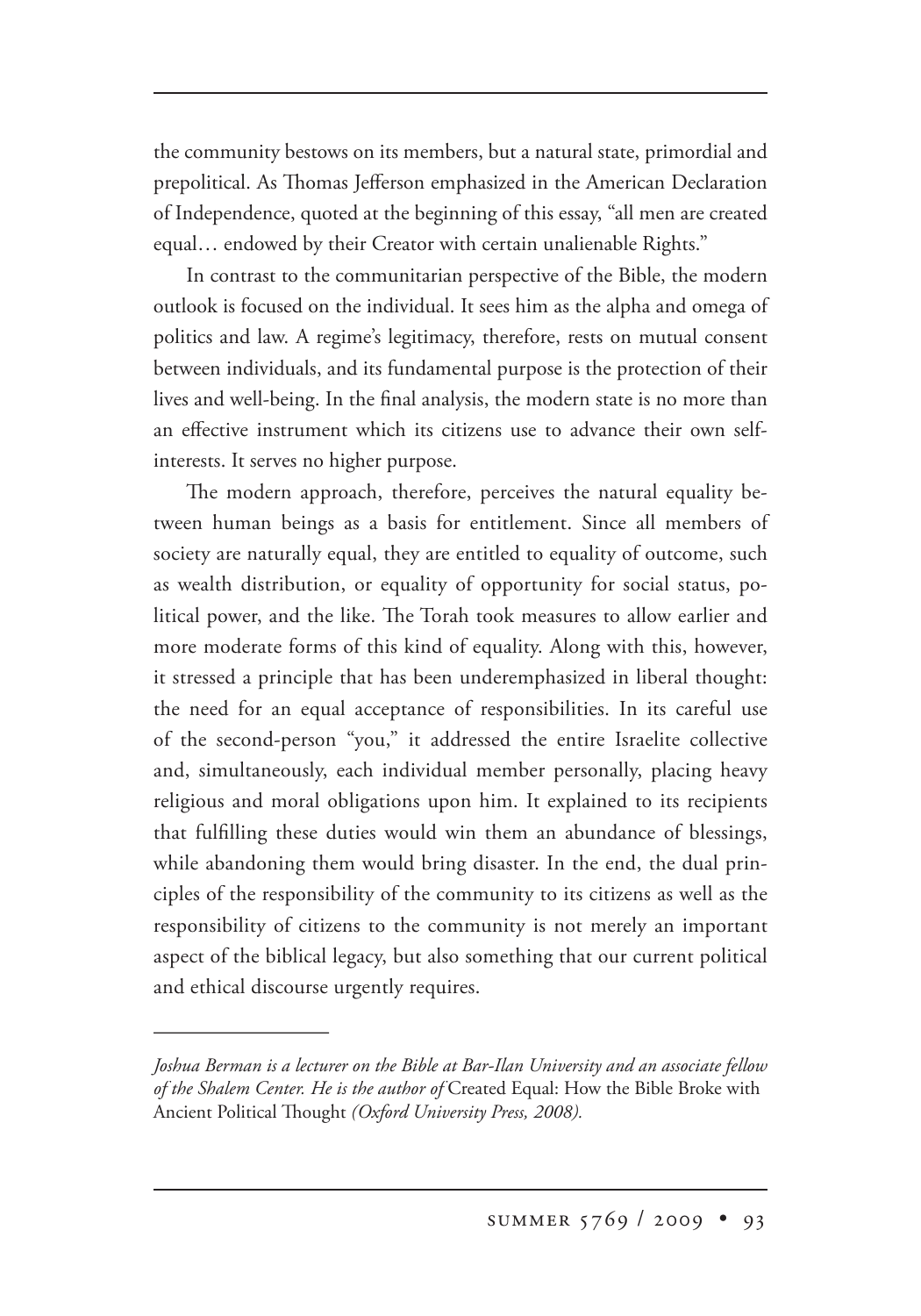the community bestows on its members, but a natural state, primordial and prepolitical. As Thomas Jefferson emphasized in the American Declaration of Independence, quoted at the beginning of this essay, "all men are created equal… endowed by their Creator with certain unalienable Rights."

In contrast to the communitarian perspective of the Bible, the modern outlook is focused on the individual. It sees him as the alpha and omega of politics and law. A regime's legitimacy, therefore, rests on mutual consent between individuals, and its fundamental purpose is the protection of their lives and well-being. In the final analysis, the modern state is no more than an effective instrument which its citizens use to advance their own selfinterests. It serves no higher purpose.

The modern approach, therefore, perceives the natural equality between human beings as a basis for entitlement. Since all members of society are naturally equal, they are entitled to equality of outcome, such as wealth distribution, or equality of opportunity for social status, political power, and the like. The Torah took measures to allow earlier and more moderate forms of this kind of equality. Along with this, however, it stressed a principle that has been underemphasized in liberal thought: the need for an equal acceptance of responsibilities. In its careful use of the second-person "you," it addressed the entire Israelite collective and, simultaneously, each individual member personally, placing heavy religious and moral obligations upon him. It explained to its recipients that fulfilling these duties would win them an abundance of blessings, while abandoning them would bring disaster. In the end, the dual principles of the responsibility of the community to its citizens as well as the responsibility of citizens to the community is not merely an important aspect of the biblical legacy, but also something that our current political and ethical discourse urgently requires.

*Joshua Berman is a lecturer on the Bible at Bar-Ilan University and an associate fellow of the Shalem Center. He is the author of* Created Equal: How the Bible Broke with Ancient Political Thought (Oxford University Press, 2008).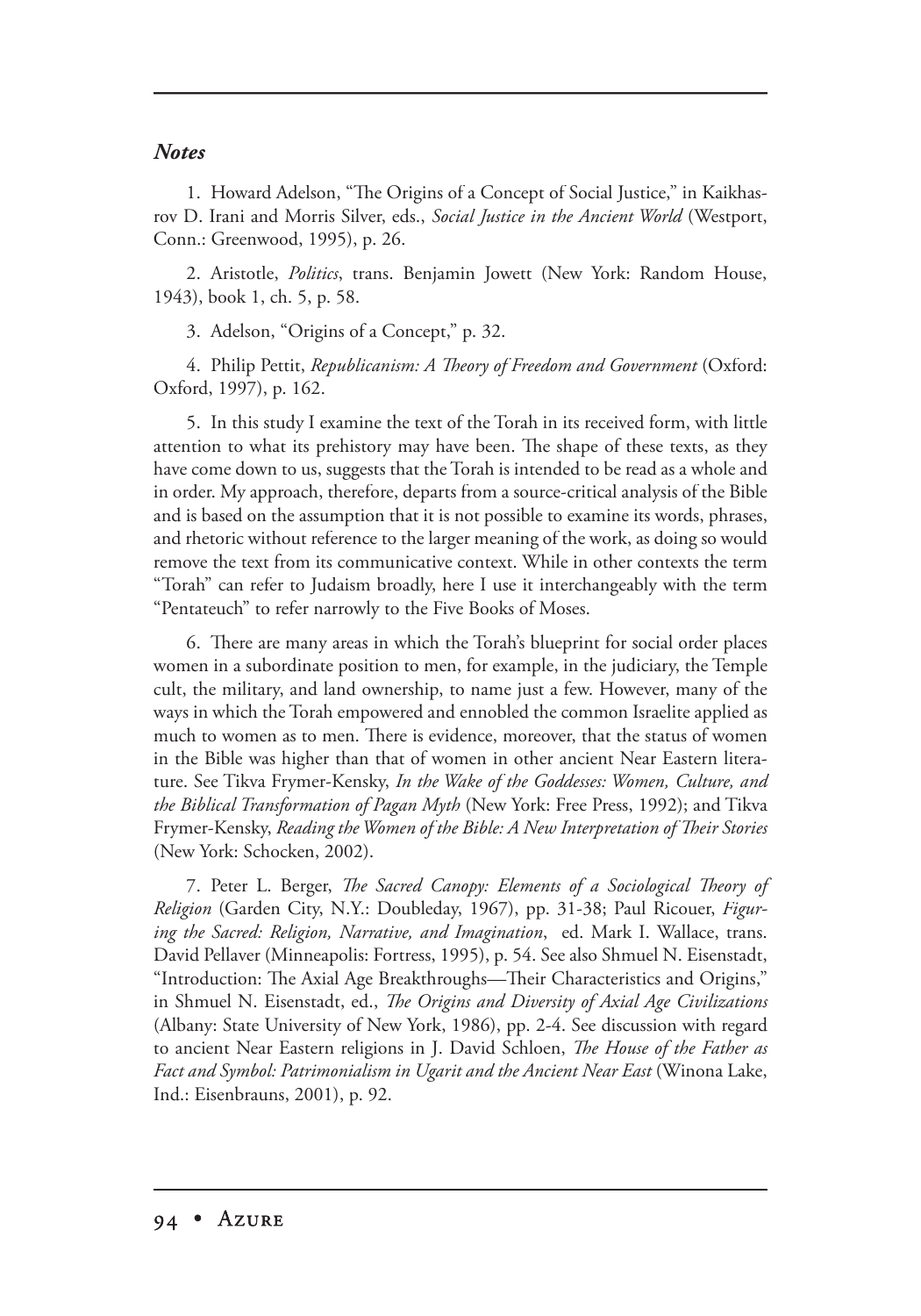## *Notes*

1. Howard Adelson, "The Origins of a Concept of Social Justice," in Kaikhasrov D. Irani and Morris Silver, eds., *Social Justice in the Ancient World* (Westport, Conn.: Greenwood, 1995), p. 26.

2. Aristotle, *Politics*, trans. Benjamin Jowett (New York: Random House, 1943), book 1, ch. 5, p. 58.

3. Adelson, "Origins of a Concept," p. 32.

4. Philip Pettit, *Republicanism: A Theory of Freedom and Government* (Oxford: Oxford, 1997), p. 162.

5. In this study I examine the text of the Torah in its received form, with little attention to what its prehistory may have been. The shape of these texts, as they have come down to us, suggests that the Torah is intended to be read as a whole and in order. My approach, therefore, departs from a source-critical analysis of the Bible and is based on the assumption that it is not possible to examine its words, phrases, and rhetoric without reference to the larger meaning of the work, as doing so would remove the text from its communicative context. While in other contexts the term "Torah" can refer to Judaism broadly, here I use it interchangeably with the term "Pentateuch" to refer narrowly to the Five Books of Moses.

6. There are many areas in which the Torah's blueprint for social order places women in a subordinate position to men, for example, in the judiciary, the Temple cult, the military, and land ownership, to name just a few. However, many of the ways in which the Torah empowered and ennobled the common Israelite applied as much to women as to men. There is evidence, moreover, that the status of women in the Bible was higher than that of women in other ancient Near Eastern literature. See Tikva Frymer-Kensky, *In the Wake of the Goddesses: Women, Culture, and the Biblical Transformation of Pagan Myth* (New York: Free Press, 1992); and Tikva Frymer-Kensky, *Reading the Women of the Bible: A New Interpretation of Their Stories* (New York: Schocken, 2002).

7. Peter L. Berger, *The Sacred Canopy: Elements of a Sociological Theory of Religion* (Garden City, N.Y.: Doubleday, 1967), pp. 31-38; Paul Ricouer, *Figuring the Sacred: Religion, Narrative, and Imagination*, ed. Mark I. Wallace, trans. David Pellaver (Minneapolis: Fortress, 1995), p. 54. See also Shmuel N. Eisenstadt, "Introduction: The Axial Age Breakthroughs—Their Characteristics and Origins," in Shmuel N. Eisenstadt, ed., *The Origins and Diversity of Axial Age Civilizations* (Albany: State University of New York, 1986), pp. 2-4. See discussion with regard to ancient Near Eastern religions in J. David Schloen, *The House of the Father as Fact and Symbol: Patrimonialism in Ugarit and the Ancient Near East* (Winona Lake, Ind.: Eisenbrauns, 2001), p. 92.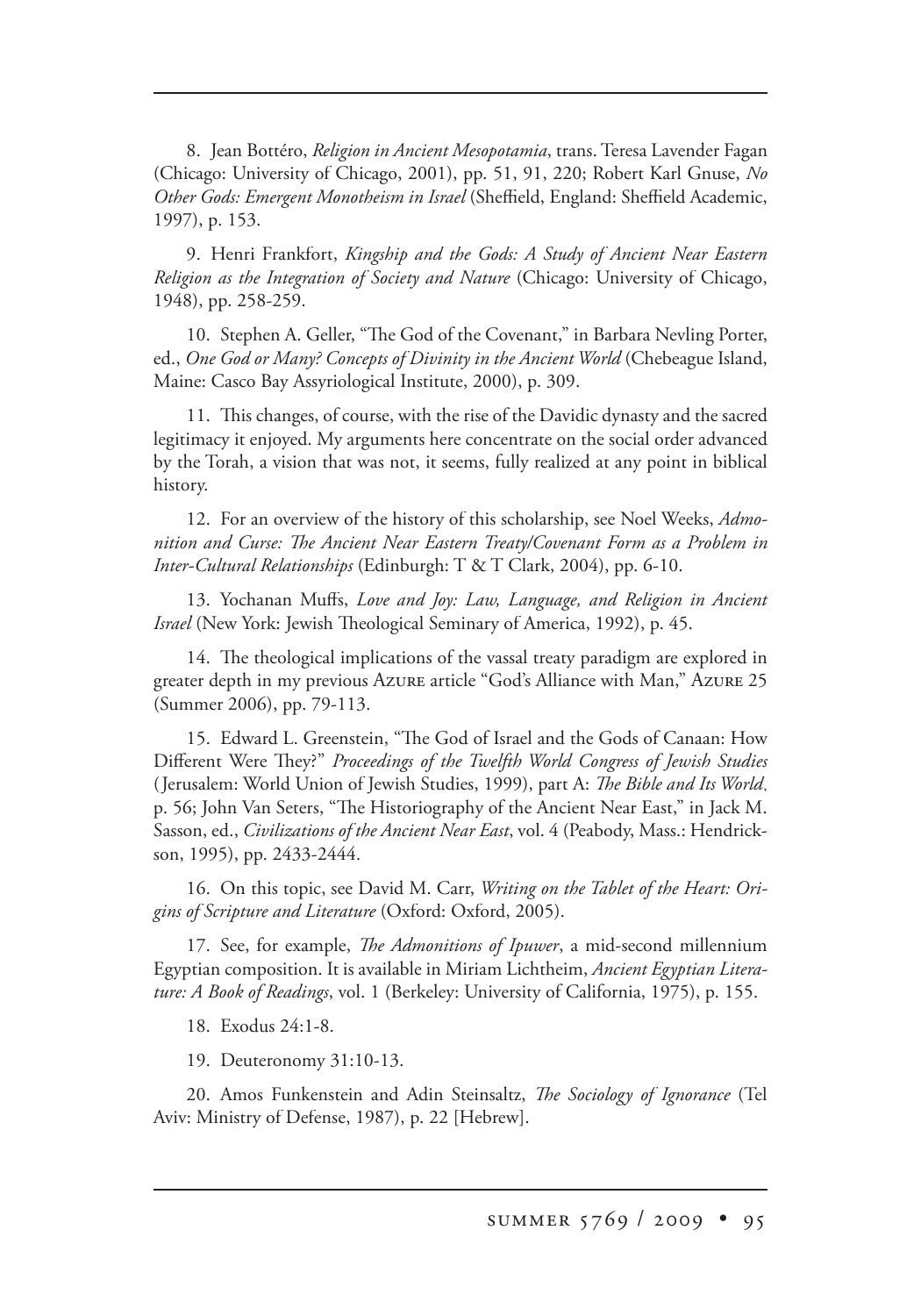8. Jean Bottéro, *Religion in Ancient Mesopotamia*, trans. Teresa Lavender Fagan (Chicago: University of Chicago, 2001), pp. 51, 91, 220; Robert Karl Gnuse, *No Other Gods: Emergent Monotheism in Israel* (Sheffield, England: Sheffield Academic, 1997), p. 153.

9. Henri Frankfort, *Kingship and the Gods: A Study of Ancient Near Eastern Religion as the Integration of Society and Nature* (Chicago: University of Chicago, 1948), pp. 258-259.

10. Stephen A. Geller, "The God of the Covenant," in Barbara Nevling Porter, ed., *One God or Many? Concepts of Divinity in the Ancient World* (Chebeague Island, Maine: Casco Bay Assyriological Institute, 2000), p. 309.

11. This changes, of course, with the rise of the Davidic dynasty and the sacred legitimacy it enjoyed. My arguments here concentrate on the social order advanced by the Torah, a vision that was not, it seems, fully realized at any point in biblical history.

12. For an overview of the history of this scholarship, see Noel Weeks, *Admo*nition and Curse: The Ancient Near Eastern Treaty/Covenant Form as a Problem in *Inter-Cultural Relationships* (Edinburgh: T & T Clark, 2004), pp. 6-10.

13. Yochanan Muffs, *Love and Joy: Law, Language, and Religion in Ancient Israel* (New York: Jewish Theological Seminary of America, 1992), p. 45.

14. The theological implications of the vassal treaty paradigm are explored in greater depth in my previous Azure article "God's Alliance with Man," Azure 25 (Summer 2006), pp. 79-113.

15. Edward L. Greenstein, "The God of Israel and the Gods of Canaan: How Different Were They?" *Proceedings of the Twelfth World Congress of Jewish Studies* (Jerusalem: World Union of Jewish Studies, 1999), part A: *The Bible and Its World*, p. 56; John Van Seters, "The Historiography of the Ancient Near East," in Jack M. Sasson, ed., *Civilizations of the Ancient Near East*, vol. 4 (Peabody, Mass.: Hendrickson, 1995), pp. 2433-2444.

16. On this topic, see David M. Carr, *Writing on the Tablet of the Heart: Origins of Scripture and Literature* (Oxford: Oxford, 2005). 2005).

17. See, for example, *The Admonitions of Ipuwer*, a mid-second millennium Egyptian composition. It is available in Miriam Lichtheim, *Ancient Egyptian Literature: A Book of Readings*, vol. 1 (Berkeley: University of California, 1975), p. 155.

18. Exodus 24:1-8.

19. Deuteronomy 31:10-13.

20. Amos Funkenstein and Adin Steinsaltz, *The Sociology of Ignorance* (Tel Aviv: Ministry of Defense, 1987), p. 22 [Hebrew].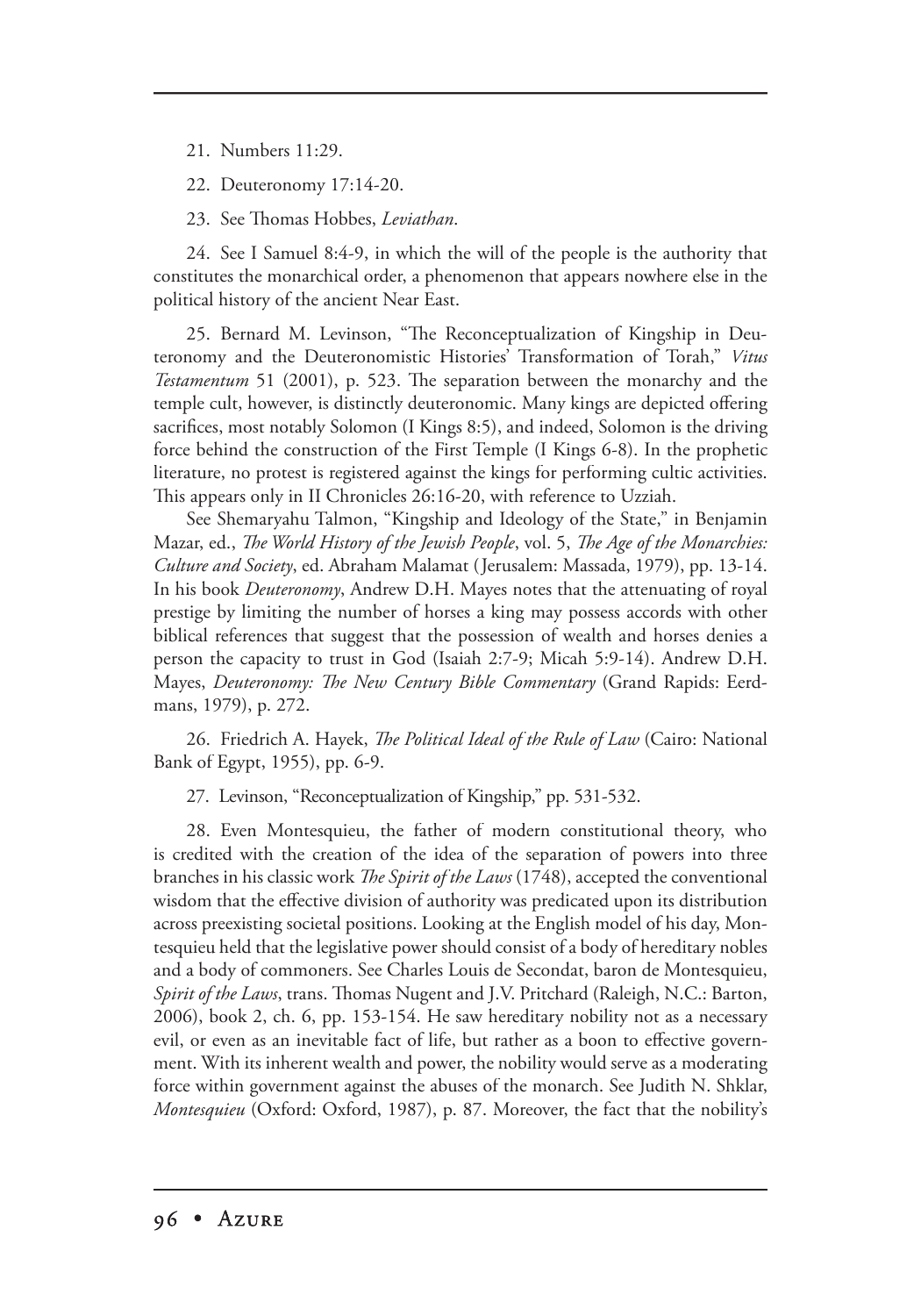21. Numbers 11:29.

22. Deuteronomy 17:14-20.

23. See Thomas Hobbes, *Leviathan*.

24. See I Samuel 8:4-9, in which the will of the people is the authority that constitutes the monarchical order, a phenomenon that appears nowhere else in the political history of the ancient Near East.

25. Bernard M. Levinson, "The Reconceptualization of Kingship in Deuteronomy and the Deuteronomistic Histories' Transformation of Torah," *Vitus Testamentum* 51 (2001), p. 523. The separation between the monarchy and the temple cult, however, is distinctly deuteronomic. Many kings are depicted offering sacrifices, most notably Solomon (I Kings 8:5), and indeed, Solomon is the driving force behind the construction of the First Temple (I Kings 6-8). In the prophetic literature, no protest is registered against the kings for performing cultic activities. This appears only in II Chronicles 26:16-20, with reference to Uzziah.

See Shemaryahu Talmon, "Kingship and Ideology of the State," in Benjamin Mazar, ed., *The World History of the Jewish People*, vol. 5, *The Age of the Monarchies: Culture and Society*, ed. Abraham Malamat (Jerusalem: Massada, 1979), pp. 13-14. In his book *Deuteronomy*, Andrew D.H. Mayes notes that the attenuating of royal prestige by limiting the number of horses a king may possess accords with other biblical references that suggest that the possession of wealth and horses denies a person the capacity to trust in God (Isaiah 2:7-9; Micah 5:9-14). Andrew D.H. Mayes, *Deuteronomy: The New Century Bible Commentary* (Grand Rapids: Eerdmans, 1979), p. 272.

26. Friedrich A. Hayek, *The Political Ideal of the Rule of Law* (Cairo: National Bank of Egypt, 1955), pp. 6-9.

27. Levinson, "Reconceptualization of Kingship," pp. 531-532.

28. Even Montesquieu, the father of modern constitutional theory, who is credited with the creation of the idea of the separation of powers into three branches in his classic work *The Spirit of the Laws* (1748), accepted the conventional wisdom that the effective division of authority was predicated upon its distribution across preexisting societal positions. Looking at the English model of his day, Montesquieu held that the legislative power should consist of a body of hereditary nobles and a body of commoners. See Charles Louis de Secondat, baron de Montesquieu, *Spirit of the Laws*, trans. Thomas Nugent and J.V. Pritchard (Raleigh, N.C.: Barton, 2006), book 2, ch. 6, pp. 153-154. He saw hereditary nobility not as a necessary evil, or even as an inevitable fact of life, but rather as a boon to effective government. With its inherent wealth and power, the nobility would serve as a moderating force within government against the abuses of the monarch. See Judith N. Shklar, *Montesquieu* (Oxford: Oxford, 1987), p. 87. Moreover, the fact that the nobility's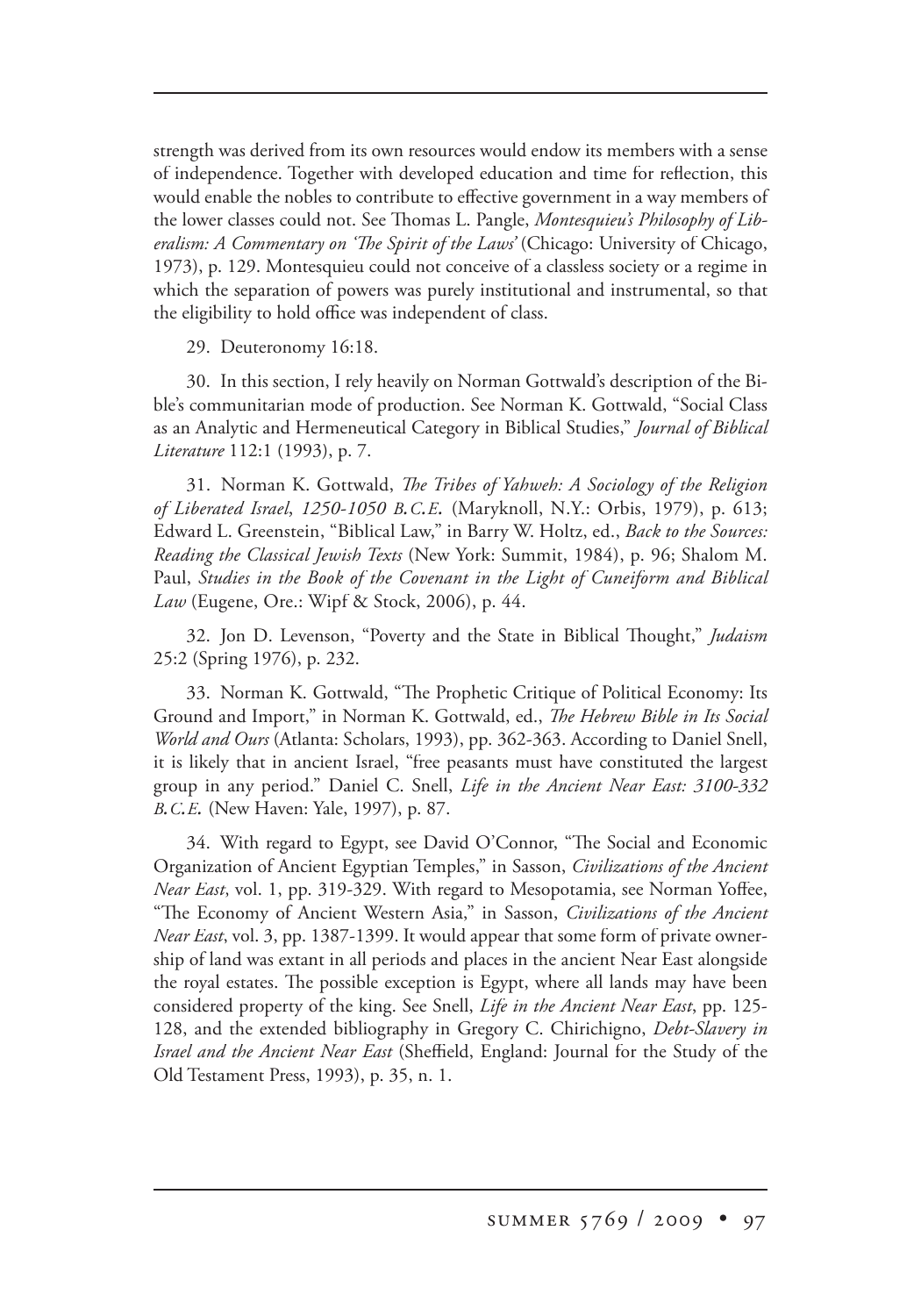strength was derived from its own resources would endow its members with a sense of independence. Together with developed education and time for reflection, this would enable the nobles to contribute to effective government in a way members of the lower classes could not. See Thomas L. Pangle, *Montesquieu's Philosophy of Liberalism: A Commentary on 'The Spirit of the Laws* (Chicago: University of Chicago, 1973), p. 129. Montesquieu could not conceive of a classless society or a regime in which the separation of powers was purely institutional and instrumental, so that the eligibility to hold office was independent of class.

29. Deuteronomy 16:18.

30. In this section, I rely heavily on Norman Gottwald's description of the Bible's communitarian mode of production. See Norman K. Gottwald, "Social Class as an Analytic and Hermeneutical Category in Biblical Studies," *Journal of Biblical Literature* 112:1 (1993), p. 7.

31. Norman K. Gottwald, *The Tribes of Yahweh: A Sociology of the Religion of Liberated Israel*,*1250-1050 B.C.E.* (Maryknoll, N.Y.: Orbis, 1979), p. 613; Edward L. Greenstein, "Biblical Law," in Barry W. Holtz, ed., *Back to the Sources: Reading the Classical Jewish Texts* (New York: Summit, 1984), p. 96; Shalom M. Paul, *Studies in the Book of the Covenant in the Light of Cuneiform and Biblical Law* (Eugene, Ore.: Wipf & Stock, 2006), p. 44.

32. Jon D. Levenson, "Poverty and the State in Biblical Thought," *Judaism* 25:2 (Spring 1976), p. 232.

33. Norman K. Gottwald, "The Prophetic Critique of Political Economy: Its Ground and Import," in Norman K. Gottwald, ed., *The Hebrew Bible in Its Social World and Ours* (Atlanta: Scholars, 1993), pp. 362-363. According to Daniel Snell, it is likely that in ancient Israel, "free peasants must have constituted the largest group in any period." Daniel C. Snell, *Life in the Ancient Near East: 3100-332 B.C.E.* (New Haven: Yale, 1997), p. 87.

34. With regard to Egypt, see David O'Connor, "The Social and Economic Organization of Ancient Egyptian Temples," in Sasson, *Civilizations of the Ancient Near East*, vol. 1, pp. 319-329. With regard to Mesopotamia, see Norman Yoffee, "The Economy of Ancient Western Asia," in Sasson, *Civilizations of the Ancient Near East*, vol. 3, pp. 1387-1399. It would appear that some form of private ownership of land was extant in all periods and places in the ancient Near East alongside the royal estates. The possible exception is Egypt, where all lands may have been considered property of the king. See Snell, *Life in the Ancient Near East*, pp. 125- 128, and the extended bibliography in Gregory C. Chirichigno, *Debt-Slavery in Israel and the Ancient Near East* (Sheffield, England: Journal for the Study of the Old Testament Press, 1993), p. 35, n. 1.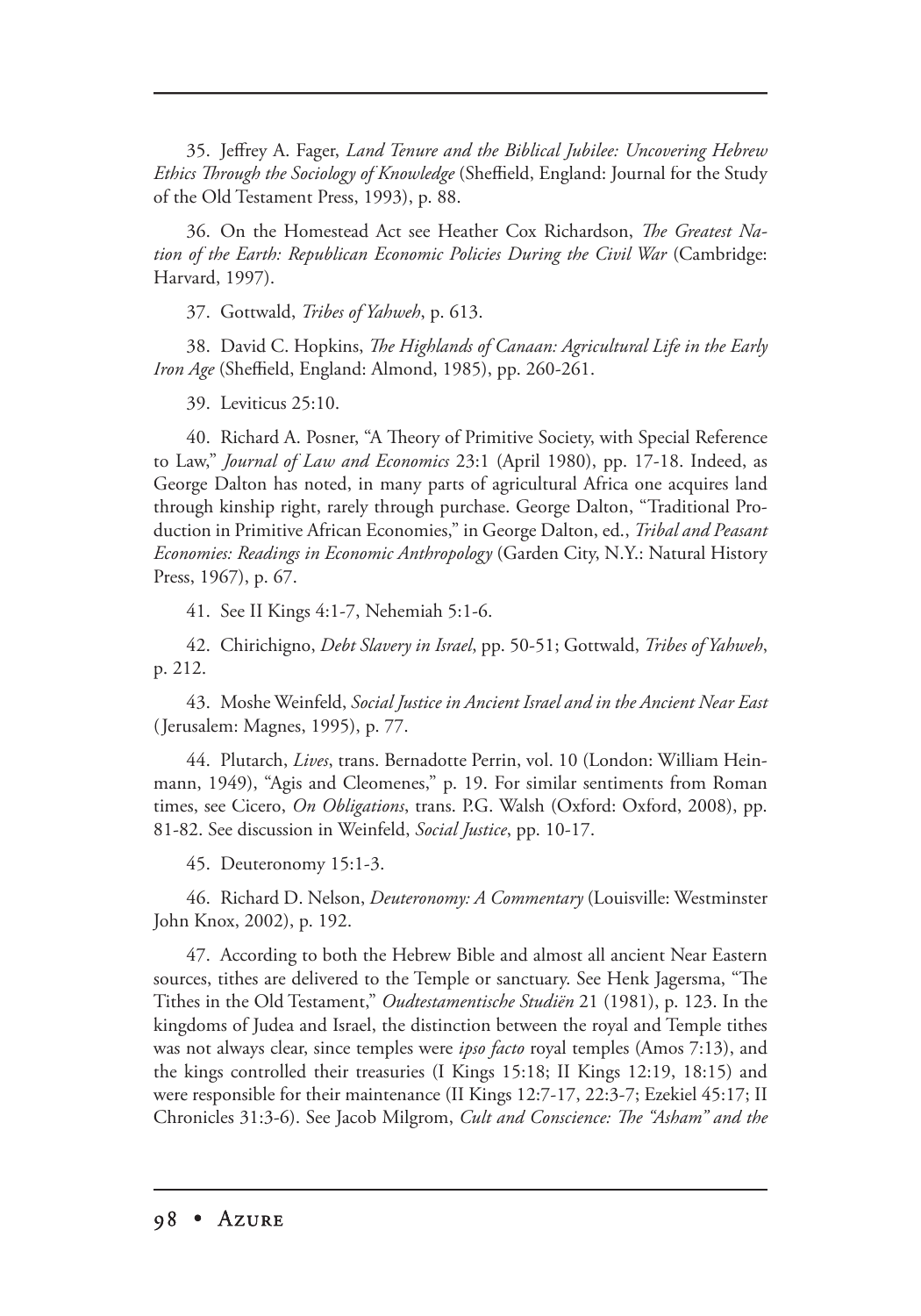35. Jeffrey A. Fager, *Land Tenure and the Biblical Jubilee: Uncovering Hebrew Ethics Through the Sociology of Knowledge* (Sheffield, England: Journal for the Study of the Old Testament Press, 1993), p. 88.

36. On the Homestead Act see Heather Cox Richardson, *The Greatest Nation of the Earth: Republican Economic Policies During the Civil War* (Cambridge: Harvard, 1997).

37. Gottwald, *Tribes of Yahweh*, p. 613.

38. David C. Hopkins, *The Highlands of Canaan: Agricultural Life in the Early Iron Age* (Sheffield, England: Almond, 1985), pp. 260-261.

39. Leviticus 25:10.

40. Richard A. Posner, "A Theory of Primitive Society, with Special Reference to Law," *Journal of Law and Economics* 23:1 (April 1980), pp. 17-18. Indeed, as George Dalton has noted, in many parts of agricultural Africa one acquires land through kinship right, rarely through purchase. George Dalton, "Traditional Production in Primitive African Economies," in George Dalton, ed., *Tribal and Peasant Economies: Readings in Economic Anthropology* (Garden City, N.Y.: Natural History Press, 1967), p. 67.

41. See II Kings 4:1-7, Nehemiah 5:1-6.

42. Chirichigno, *Debt Slavery in Israel*, pp. 50-51; Gottwald, *Tribes of Yahweh*, p. 212.

43. Moshe Weinfeld, *Social Justice in Ancient Israel and in the Ancient Near East* (Jerusalem: Magnes, 1995), p. 77.

44. Plutarch, *Lives*, trans. Bernadotte Perrin, vol. 10 (London: William Heinmann, 1949), "Agis and Cleomenes," p. 19. For similar sentiments from Roman times, see Cicero, *On Obligations*, trans. P.G. Walsh (Oxford: Oxford, 2008), pp. 81-82. See discussion in Weinfeld, *Social Justice*, pp. 10-17.

45. Deuteronomy 15:1-3.

46. Richard D. Nelson, *Deuteronomy: A Commentary* (Louisville: Westminster John Knox, 2002), p. 192.

47. According to both the Hebrew Bible and almost all ancient Near Eastern sources, tithes are delivered to the Temple or sanctuary. See Henk Jagersma, "The Tithes in the Old Testament," *Oudtestamentische Studiën* 21 (1981), p. 123. In the kingdoms of Judea and Israel, the distinction between the royal and Temple tithes was not always clear, since temples were *ipso facto* royal temples (Amos 7:13), and the kings controlled their treasuries (I Kings 15:18; II Kings 12:19, 18:15) and were responsible for their maintenance (II Kings 12:7-17, 22:3-7; Ezekiel 45:17; II Chronicles 31:3-6). See Jacob Milgrom, *Cult and Conscience: The "Asham" and the*